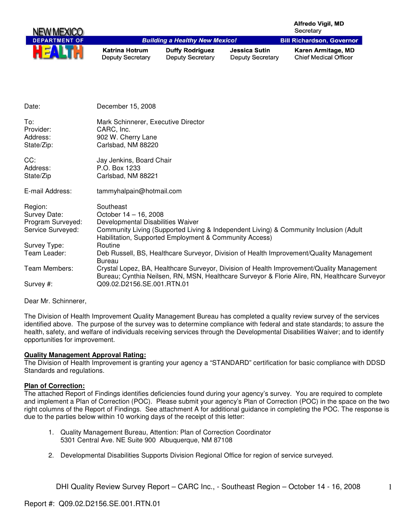| NEW MEXICO           |                                                  |                                                        |                                                 | <b>Alfredo Vigil, MD</b><br>Secretary                                                         |
|----------------------|--------------------------------------------------|--------------------------------------------------------|-------------------------------------------------|-----------------------------------------------------------------------------------------------|
| <b>DEPARTMENT OF</b> |                                                  | <b>Building a Healthy New Mexico!</b>                  |                                                 | <b>Bill Richardson, Governor</b>                                                              |
|                      | <b>Katrina Hotrum</b><br><b>Deputy Secretary</b> | <b>Duffy Rodriguez</b><br><b>Deputy Secretary</b>      | <b>Jessica Sutin</b><br><b>Deputy Secretary</b> | Karen Armitage, MD<br><b>Chief Medical Officer</b>                                            |
|                      |                                                  |                                                        |                                                 |                                                                                               |
| Date:                | December 15, 2008                                |                                                        |                                                 |                                                                                               |
| To:                  | Mark Schinnerer, Executive Director              |                                                        |                                                 |                                                                                               |
| Provider:            | CARC, Inc.                                       |                                                        |                                                 |                                                                                               |
| Address:             | 902 W. Cherry Lane                               |                                                        |                                                 |                                                                                               |
| State/Zip:           | Carlsbad, NM 88220                               |                                                        |                                                 |                                                                                               |
| CC:                  | Jay Jenkins, Board Chair                         |                                                        |                                                 |                                                                                               |
| Address:             | P.O. Box 1233                                    |                                                        |                                                 |                                                                                               |
| State/Zip            | Carlsbad, NM 88221                               |                                                        |                                                 |                                                                                               |
| E-mail Address:      | tammyhalpain@hotmail.com                         |                                                        |                                                 |                                                                                               |
| Region:              | Southeast                                        |                                                        |                                                 |                                                                                               |
| Survey Date:         | October 14 - 16, 2008                            |                                                        |                                                 |                                                                                               |
| Program Surveyed:    | Developmental Disabilities Waiver                |                                                        |                                                 |                                                                                               |
| Service Surveyed:    |                                                  |                                                        |                                                 | Community Living (Supported Living & Independent Living) & Community Inclusion (Adult         |
|                      |                                                  | Habilitation, Supported Employment & Community Access) |                                                 |                                                                                               |
| Survey Type:         | Routine                                          |                                                        |                                                 |                                                                                               |
| Team Leader:         |                                                  |                                                        |                                                 | Deb Russell, BS, Healthcare Surveyor, Division of Health Improvement/Quality Management       |
| Team Members:        | <b>Bureau</b>                                    |                                                        |                                                 | Crystal Lopez, BA, Healthcare Surveyor, Division of Health Improvement/Quality Management     |
|                      |                                                  |                                                        |                                                 | Bureau; Cynthia Neilsen, RN, MSN, Healthcare Surveyor & Florie Alire, RN, Healthcare Surveyor |
| Survey #:            | Q09.02.D2156.SE.001.RTN.01                       |                                                        |                                                 |                                                                                               |

Dear Mr. Schinnerer,

The Division of Health Improvement Quality Management Bureau has completed a quality review survey of the services identified above. The purpose of the survey was to determine compliance with federal and state standards; to assure the health, safety, and welfare of individuals receiving services through the Developmental Disabilities Waiver; and to identify opportunities for improvement.

#### **Quality Management Approval Rating:**

The Division of Health Improvement is granting your agency a "STANDARD" certification for basic compliance with DDSD Standards and regulations.

#### **Plan of Correction:**

The attached Report of Findings identifies deficiencies found during your agency's survey. You are required to complete and implement a Plan of Correction (POC). Please submit your agency's Plan of Correction (POC) in the space on the two right columns of the Report of Findings. See attachment A for additional guidance in completing the POC. The response is due to the parties below within 10 working days of the receipt of this letter:

- 1. Quality Management Bureau, Attention: Plan of Correction Coordinator 5301 Central Ave. NE Suite 900 Albuquerque, NM 87108
- 2. Developmental Disabilities Supports Division Regional Office for region of service surveyed.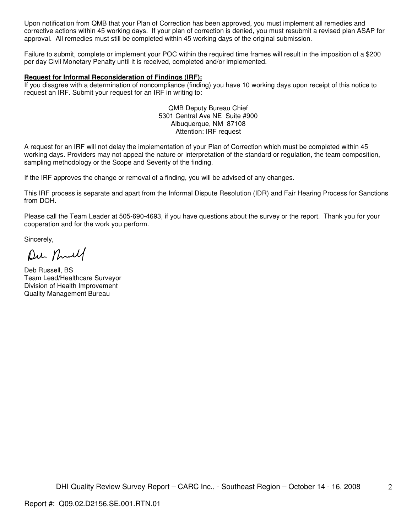Upon notification from QMB that your Plan of Correction has been approved, you must implement all remedies and corrective actions within 45 working days. If your plan of correction is denied, you must resubmit a revised plan ASAP for approval. All remedies must still be completed within 45 working days of the original submission.

Failure to submit, complete or implement your POC within the required time frames will result in the imposition of a \$200 per day Civil Monetary Penalty until it is received, completed and/or implemented.

#### **Request for Informal Reconsideration of Findings (IRF):**

If you disagree with a determination of noncompliance (finding) you have 10 working days upon receipt of this notice to request an IRF. Submit your request for an IRF in writing to:

> QMB Deputy Bureau Chief 5301 Central Ave NE Suite #900 Albuquerque, NM 87108 Attention: IRF request

A request for an IRF will not delay the implementation of your Plan of Correction which must be completed within 45 working days. Providers may not appeal the nature or interpretation of the standard or regulation, the team composition, sampling methodology or the Scope and Severity of the finding.

If the IRF approves the change or removal of a finding, you will be advised of any changes.

This IRF process is separate and apart from the Informal Dispute Resolution (IDR) and Fair Hearing Process for Sanctions from DOH.

Please call the Team Leader at 505-690-4693, if you have questions about the survey or the report. Thank you for your cooperation and for the work you perform.

Sincerely,

Du null

Deb Russell, BS Team Lead/Healthcare Surveyor Division of Health Improvement Quality Management Bureau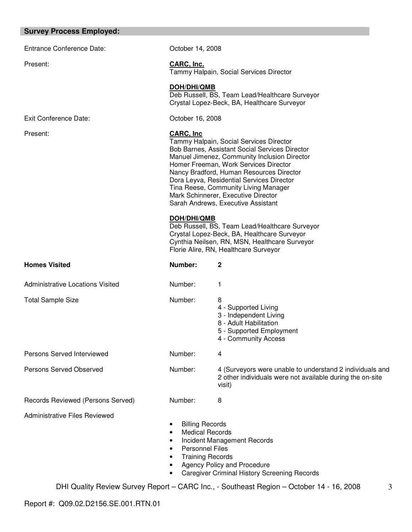#### **Survey Process Employed:**

Entrance Conference Date: Conference October 14, 2008

Exit Conference Date: Conference Date: Conference Date:

Present: **CARC, Inc.** Tammy Halpain, Social Services Director

## **DOH/DHI/QMB**

Deb Russell, BS, Team Lead/Healthcare Surveyor Crystal Lopez-Beck, BA, Healthcare Surveyor

## Present: **CARC, Inc**

Tammy Halpain, Social Services Director Bob Barnes, Assistant Social Services Director Manuel Jimenez, Community Inclusion Director Homer Freeman, Work Services Director Nancy Bradford, Human Resources Director Dora Leyva, Residential Services Director Tina Reese, Community Living Manager Mark Schinnerer, Executive Director Sarah Andrews, Executive Assistant

#### **DOH/DHI/QMB**

Deb Russell, BS, Team Lead/Healthcare Surveyor Crystal Lopez-Beck, BA, Healthcare Surveyor Cynthia Neilsen, RN, MSN, Healthcare Surveyor Florie Alire, RN, Healthcare Surveyor

| <b>Homes Visited</b>                 | Number:                                                                                               | 2                                                                                                                                 |
|--------------------------------------|-------------------------------------------------------------------------------------------------------|-----------------------------------------------------------------------------------------------------------------------------------|
| Administrative Locations Visited     | Number:                                                                                               | 1                                                                                                                                 |
| <b>Total Sample Size</b>             | Number:                                                                                               | 8<br>4 - Supported Living<br>3 - Independent Living<br>8 - Adult Habilitation<br>5 - Supported Employment<br>4 - Community Access |
| Persons Served Interviewed           | Number:                                                                                               | 4                                                                                                                                 |
| Persons Served Observed              | Number:                                                                                               | 4 (Surveyors were unable to understand 2 individuals and<br>2 other individuals were not available during the on-site<br>visit)   |
| Records Reviewed (Persons Served)    | Number:                                                                                               | 8                                                                                                                                 |
| <b>Administrative Files Reviewed</b> | <b>Billing Records</b><br><b>Medical Records</b><br><b>Personnel Files</b><br><b>Training Records</b> | Incident Management Records<br>Agency Policy and Procedure<br><b>Caregiver Criminal History Screening Records</b>                 |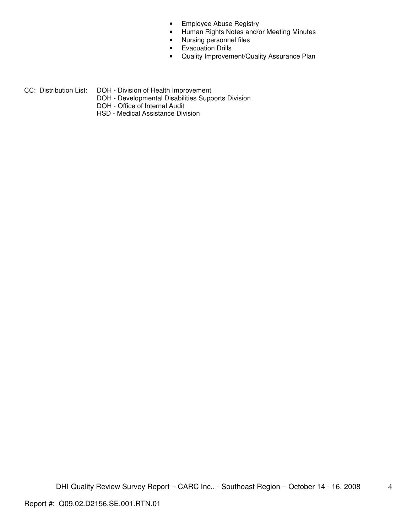- Employee Abuse Registry
- Human Rights Notes and/or Meeting Minutes
- Nursing personnel files
- Evacuation Drills
- Quality Improvement/Quality Assurance Plan
- CC: Distribution List: DOH Division of Health Improvement
	- - DOH Developmental Disabilities Supports Division
		- DOH Office of Internal Audit
		- HSD Medical Assistance Division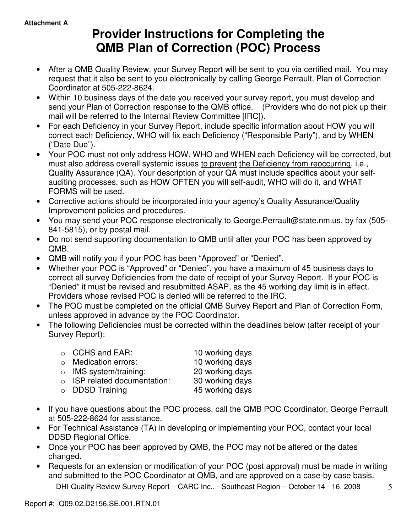# **Provider Instructions for Completing the QMB Plan of Correction (POC) Process**

- After a QMB Quality Review, your Survey Report will be sent to you via certified mail. You may request that it also be sent to you electronically by calling George Perrault, Plan of Correction Coordinator at 505-222-8624.
- Within 10 business days of the date you received your survey report, you must develop and send your Plan of Correction response to the QMB office. (Providers who do not pick up their mail will be referred to the Internal Review Committee [IRC]).
- For each Deficiency in your Survey Report, include specific information about HOW you will correct each Deficiency, WHO will fix each Deficiency ("Responsible Party"), and by WHEN ("Date Due").
- Your POC must not only address HOW, WHO and WHEN each Deficiency will be corrected, but must also address overall systemic issues to prevent the Deficiency from reoccurring, i.e., Quality Assurance (QA). Your description of your QA must include specifics about your selfauditing processes, such as HOW OFTEN you will self-audit, WHO will do it, and WHAT FORMS will be used.
- Corrective actions should be incorporated into your agency's Quality Assurance/Quality Improvement policies and procedures.
- You may send your POC response electronically to George.Perrault@state.nm.us, by fax (505- 841-5815), or by postal mail.
- Do not send supporting documentation to QMB until after your POC has been approved by QMB.
- QMB will notify you if your POC has been "Approved" or "Denied".
- Whether your POC is "Approved" or "Denied", you have a maximum of 45 business days to correct all survey Deficiencies from the date of receipt of your Survey Report. If your POC is "Denied" it must be revised and resubmitted ASAP, as the 45 working day limit is in effect. Providers whose revised POC is denied will be referred to the IRC.
- The POC must be completed on the official QMB Survey Report and Plan of Correction Form, unless approved in advance by the POC Coordinator.
- The following Deficiencies must be corrected within the deadlines below (after receipt of your Survey Report):

| $\circ$ CCHS and EAR:              | 10 working days |
|------------------------------------|-----------------|
| o Medication errors:               | 10 working days |
| $\circ$ IMS system/training:       | 20 working days |
| $\circ$ ISP related documentation: | 30 working days |
| $\circ$ DDSD Training              | 45 working days |

- If you have questions about the POC process, call the QMB POC Coordinator, George Perrault at 505-222-8624 for assistance.
- For Technical Assistance (TA) in developing or implementing your POC, contact your local DDSD Regional Office.
- Once your POC has been approved by QMB, the POC may not be altered or the dates changed.
- Requests for an extension or modification of your POC (post approval) must be made in writing and submitted to the POC Coordinator at QMB, and are approved on a case-by case basis.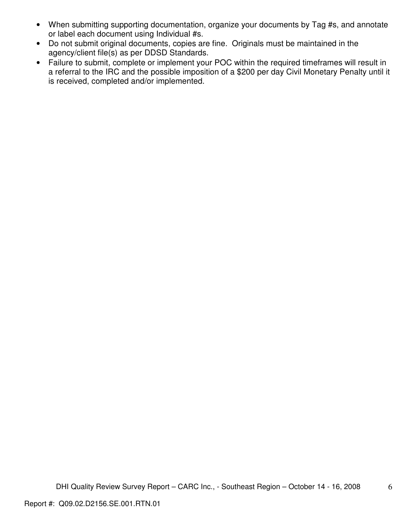- When submitting supporting documentation, organize your documents by Tag #s, and annotate or label each document using Individual #s.
- Do not submit original documents, copies are fine. Originals must be maintained in the agency/client file(s) as per DDSD Standards.
- Failure to submit, complete or implement your POC within the required timeframes will result in a referral to the IRC and the possible imposition of a \$200 per day Civil Monetary Penalty until it is received, completed and/or implemented.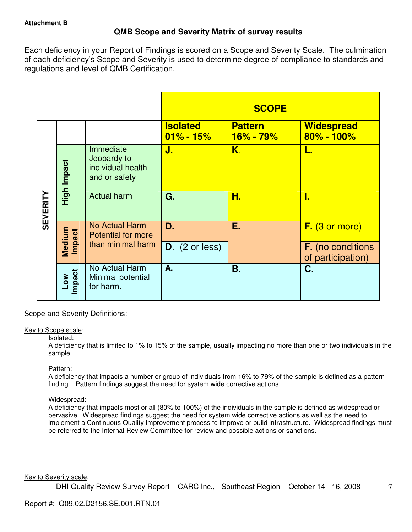# **QMB Scope and Severity Matrix of survey results**

Each deficiency in your Report of Findings is scored on a Scope and Severity Scale. The culmination of each deficiency's Scope and Severity is used to determine degree of compliance to standards and regulations and level of QMB Certification.

|                 |                  |                                                                |                                  | <b>SCOPE</b>                |                                               |
|-----------------|------------------|----------------------------------------------------------------|----------------------------------|-----------------------------|-----------------------------------------------|
|                 |                  |                                                                | <b>Isolated</b><br>$01\% - 15\%$ | <b>Pattern</b><br>16% - 79% | <b>Widespread</b><br>80% - 100%               |
| <b>SEVERITY</b> | High Impact      | Immediate<br>Jeopardy to<br>individual health<br>and or safety | J.                               | K.                          | L.                                            |
|                 |                  | <b>Actual harm</b>                                             | G.                               | Н.                          | I.                                            |
|                 |                  | No Actual Harm<br><b>Potential for more</b>                    | D.                               | Ε.                          | $F.$ (3 or more)                              |
|                 | Medium<br>Impact | than minimal harm                                              | $D.$ (2 or less)                 |                             | <b>F.</b> (no conditions<br>of participation) |
|                 | Low<br>Impact    | No Actual Harm<br>Minimal potential<br>for harm.               | A.                               | Β.                          | C.                                            |

Scope and Severity Definitions:

#### Key to Scope scale:

#### Isolated:

A deficiency that is limited to 1% to 15% of the sample, usually impacting no more than one or two individuals in the sample.

#### Pattern:

A deficiency that impacts a number or group of individuals from 16% to 79% of the sample is defined as a pattern finding. Pattern findings suggest the need for system wide corrective actions.

# Widespread:

A deficiency that impacts most or all (80% to 100%) of the individuals in the sample is defined as widespread or pervasive. Widespread findings suggest the need for system wide corrective actions as well as the need to implement a Continuous Quality Improvement process to improve or build infrastructure. Widespread findings must be referred to the Internal Review Committee for review and possible actions or sanctions.

#### Key to Severity scale: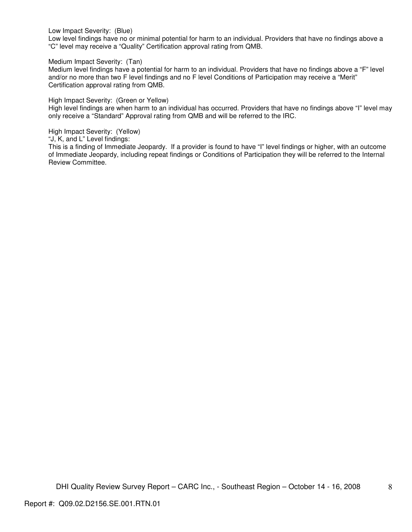Low Impact Severity: (Blue)

Low level findings have no or minimal potential for harm to an individual. Providers that have no findings above a "C" level may receive a "Quality" Certification approval rating from QMB.

Medium Impact Severity: (Tan)

Medium level findings have a potential for harm to an individual. Providers that have no findings above a "F" level and/or no more than two F level findings and no F level Conditions of Participation may receive a "Merit" Certification approval rating from QMB.

High Impact Severity: (Green or Yellow)

High level findings are when harm to an individual has occurred. Providers that have no findings above "I" level may only receive a "Standard" Approval rating from QMB and will be referred to the IRC.

High Impact Severity: (Yellow)

"J, K, and L" Level findings:

This is a finding of Immediate Jeopardy. If a provider is found to have "I" level findings or higher, with an outcome of Immediate Jeopardy, including repeat findings or Conditions of Participation they will be referred to the Internal Review Committee.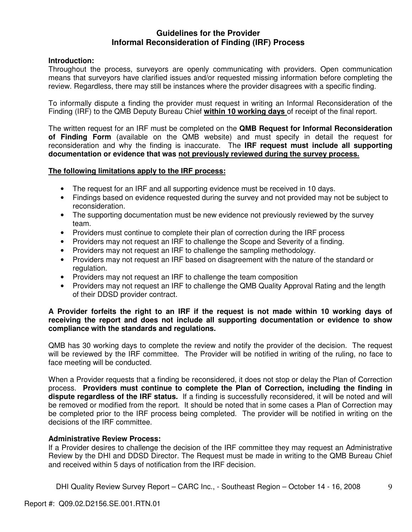# **Guidelines for the Provider Informal Reconsideration of Finding (IRF) Process**

# **Introduction:**

Throughout the process, surveyors are openly communicating with providers. Open communication means that surveyors have clarified issues and/or requested missing information before completing the review. Regardless, there may still be instances where the provider disagrees with a specific finding.

To informally dispute a finding the provider must request in writing an Informal Reconsideration of the Finding (IRF) to the QMB Deputy Bureau Chief **within 10 working days** of receipt of the final report.

The written request for an IRF must be completed on the **QMB Request for Informal Reconsideration of Finding Form** (available on the QMB website) and must specify in detail the request for reconsideration and why the finding is inaccurate. The **IRF request must include all supporting documentation or evidence that was not previously reviewed during the survey process.** 

## **The following limitations apply to the IRF process:**

- The request for an IRF and all supporting evidence must be received in 10 days.
- Findings based on evidence requested during the survey and not provided may not be subject to reconsideration.
- The supporting documentation must be new evidence not previously reviewed by the survey team.
- Providers must continue to complete their plan of correction during the IRF process
- Providers may not request an IRF to challenge the Scope and Severity of a finding.
- Providers may not request an IRF to challenge the sampling methodology.
- Providers may not request an IRF based on disagreement with the nature of the standard or regulation.
- Providers may not request an IRF to challenge the team composition
- Providers may not request an IRF to challenge the QMB Quality Approval Rating and the length of their DDSD provider contract.

## **A Provider forfeits the right to an IRF if the request is not made within 10 working days of receiving the report and does not include all supporting documentation or evidence to show compliance with the standards and regulations.**

QMB has 30 working days to complete the review and notify the provider of the decision. The request will be reviewed by the IRF committee. The Provider will be notified in writing of the ruling, no face to face meeting will be conducted.

When a Provider requests that a finding be reconsidered, it does not stop or delay the Plan of Correction process. **Providers must continue to complete the Plan of Correction, including the finding in dispute regardless of the IRF status.** If a finding is successfully reconsidered, it will be noted and will be removed or modified from the report. It should be noted that in some cases a Plan of Correction may be completed prior to the IRF process being completed. The provider will be notified in writing on the decisions of the IRF committee.

#### **Administrative Review Process:**

If a Provider desires to challenge the decision of the IRF committee they may request an Administrative Review by the DHI and DDSD Director. The Request must be made in writing to the QMB Bureau Chief and received within 5 days of notification from the IRF decision.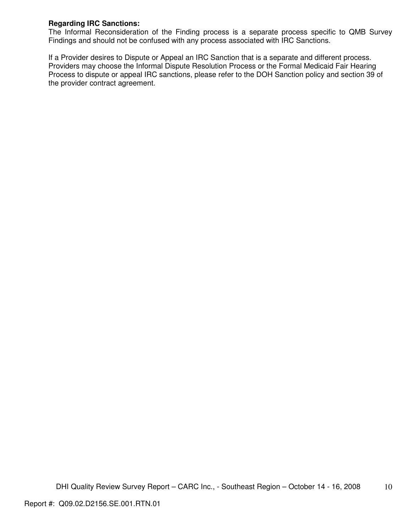# **Regarding IRC Sanctions:**

The Informal Reconsideration of the Finding process is a separate process specific to QMB Survey Findings and should not be confused with any process associated with IRC Sanctions.

If a Provider desires to Dispute or Appeal an IRC Sanction that is a separate and different process. Providers may choose the Informal Dispute Resolution Process or the Formal Medicaid Fair Hearing Process to dispute or appeal IRC sanctions, please refer to the DOH Sanction policy and section 39 of the provider contract agreement.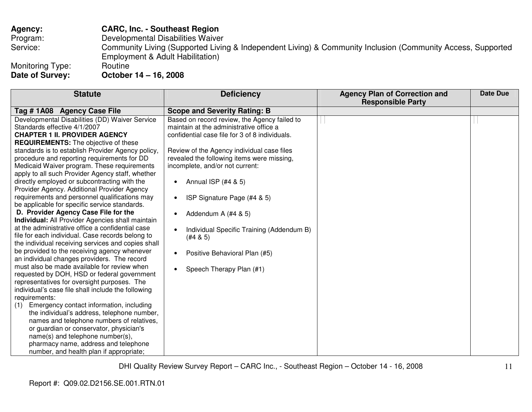| <b>Agency:</b>   | <b>CARC, Inc. - Southeast Region</b>                                                                                                            |
|------------------|-------------------------------------------------------------------------------------------------------------------------------------------------|
| Program:         | Developmental Disabilities Waiver                                                                                                               |
| Service:         | Community Living (Supported Living & Independent Living) & Community Inclusion (Community Access, Supported<br>Employment & Adult Habilitation) |
| Monitoring Type: | Routine                                                                                                                                         |
| Date of Survey:  | October 14 - 16, 2008                                                                                                                           |

| <b>Statute</b>                                     | <b>Deficiency</b>                                      | <b>Agency Plan of Correction and</b> | Date Due |
|----------------------------------------------------|--------------------------------------------------------|--------------------------------------|----------|
|                                                    |                                                        | <b>Responsible Party</b>             |          |
| Tag #1A08 Agency Case File                         | <b>Scope and Severity Rating: B</b>                    |                                      |          |
| Developmental Disabilities (DD) Waiver Service     | Based on record review, the Agency failed to           |                                      |          |
| Standards effective 4/1/2007                       | maintain at the administrative office a                |                                      |          |
| <b>CHAPTER 1 II. PROVIDER AGENCY</b>               | confidential case file for 3 of 8 individuals.         |                                      |          |
| <b>REQUIREMENTS:</b> The objective of these        |                                                        |                                      |          |
| standards is to establish Provider Agency policy,  | Review of the Agency individual case files             |                                      |          |
| procedure and reporting requirements for DD        | revealed the following items were missing,             |                                      |          |
| Medicaid Waiver program. These requirements        | incomplete, and/or not current:                        |                                      |          |
| apply to all such Provider Agency staff, whether   |                                                        |                                      |          |
| directly employed or subcontracting with the       | Annual ISP (#4 & 5)<br>$\bullet$                       |                                      |          |
| Provider Agency. Additional Provider Agency        |                                                        |                                      |          |
| requirements and personnel qualifications may      | ISP Signature Page (#4 & 5)<br>$\bullet$               |                                      |          |
| be applicable for specific service standards.      |                                                        |                                      |          |
| D. Provider Agency Case File for the               | Addendum A (#4 & 5)<br>$\bullet$                       |                                      |          |
| Individual: All Provider Agencies shall maintain   |                                                        |                                      |          |
| at the administrative office a confidential case   | Individual Specific Training (Addendum B)<br>$\bullet$ |                                      |          |
| file for each individual. Case records belong to   | (#4 & 5)                                               |                                      |          |
| the individual receiving services and copies shall |                                                        |                                      |          |
| be provided to the receiving agency whenever       | Positive Behavioral Plan (#5)<br>$\bullet$             |                                      |          |
| an individual changes providers. The record        |                                                        |                                      |          |
| must also be made available for review when        | Speech Therapy Plan (#1)<br>$\bullet$                  |                                      |          |
| requested by DOH, HSD or federal government        |                                                        |                                      |          |
| representatives for oversight purposes. The        |                                                        |                                      |          |
| individual's case file shall include the following |                                                        |                                      |          |
| requirements:                                      |                                                        |                                      |          |
| Emergency contact information, including<br>(1)    |                                                        |                                      |          |
| the individual's address, telephone number,        |                                                        |                                      |          |
| names and telephone numbers of relatives,          |                                                        |                                      |          |
| or guardian or conservator, physician's            |                                                        |                                      |          |
| name(s) and telephone number(s),                   |                                                        |                                      |          |
| pharmacy name, address and telephone               |                                                        |                                      |          |
| number, and health plan if appropriate;            |                                                        |                                      |          |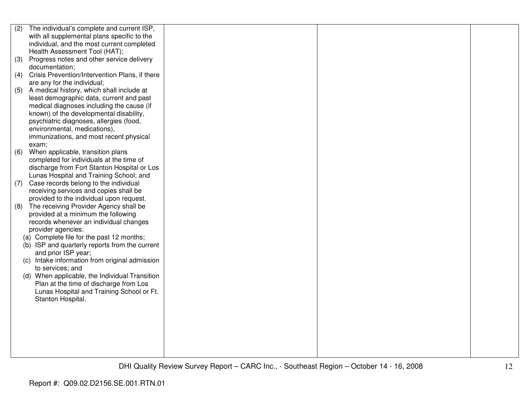| (2) | The individual's complete and current ISP,     |  |  |
|-----|------------------------------------------------|--|--|
|     | with all supplemental plans specific to the    |  |  |
|     | individual, and the most current completed     |  |  |
|     | Health Assessment Tool (HAT);                  |  |  |
| (3) | Progress notes and other service delivery      |  |  |
|     | documentation;                                 |  |  |
| (4) | Crisis Prevention/Intervention Plans, if there |  |  |
|     | are any for the individual;                    |  |  |
| (5) | A medical history, which shall include at      |  |  |
|     | least demographic data, current and past       |  |  |
|     | medical diagnoses including the cause (if      |  |  |
|     | known) of the developmental disability,        |  |  |
|     | psychiatric diagnoses, allergies (food,        |  |  |
|     | environmental, medications),                   |  |  |
|     | immunizations, and most recent physical        |  |  |
|     | exam;                                          |  |  |
| (6) | When applicable, transition plans              |  |  |
|     | completed for individuals at the time of       |  |  |
|     | discharge from Fort Stanton Hospital or Los    |  |  |
|     | Lunas Hospital and Training School; and        |  |  |
| (7) | Case records belong to the individual          |  |  |
|     | receiving services and copies shall be         |  |  |
|     | provided to the individual upon request.       |  |  |
| (8) | The receiving Provider Agency shall be         |  |  |
|     | provided at a minimum the following            |  |  |
|     | records whenever an individual changes         |  |  |
|     | provider agencies:                             |  |  |
|     | (a) Complete file for the past 12 months;      |  |  |
|     | (b) ISP and quarterly reports from the current |  |  |
|     | and prior ISP year;                            |  |  |
|     | (c) Intake information from original admission |  |  |
|     | to services; and                               |  |  |
|     | (d) When applicable, the Individual Transition |  |  |
|     | Plan at the time of discharge from Los         |  |  |
|     | Lunas Hospital and Training School or Ft.      |  |  |
|     | Stanton Hospital.                              |  |  |
|     |                                                |  |  |
|     |                                                |  |  |
|     |                                                |  |  |
|     |                                                |  |  |
|     |                                                |  |  |
|     |                                                |  |  |
|     |                                                |  |  |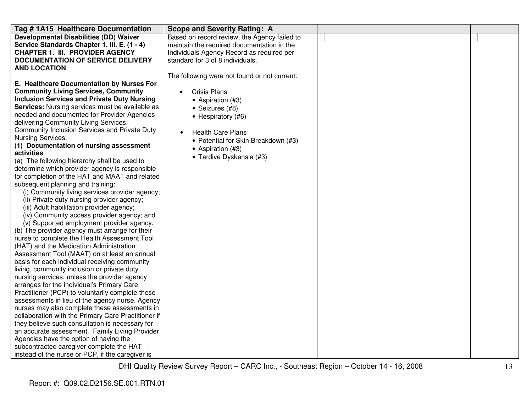| Tag # 1A15 Healthcare Documentation                    | <b>Scope and Severity Rating: A</b>          |  |
|--------------------------------------------------------|----------------------------------------------|--|
| <b>Developmental Disabilities (DD) Waiver</b>          | Based on record review, the Agency failed to |  |
| Service Standards Chapter 1. III. E. (1 - 4)           | maintain the required documentation in the   |  |
| <b>CHAPTER 1. III. PROVIDER AGENCY</b>                 | Individuals Agency Record as required per    |  |
| <b>DOCUMENTATION OF SERVICE DELIVERY</b>               | standard for 3 of 8 individuals.             |  |
| <b>AND LOCATION</b>                                    |                                              |  |
|                                                        | The following were not found or not current: |  |
| E. Healthcare Documentation by Nurses For              |                                              |  |
| <b>Community Living Services, Community</b>            | <b>Crisis Plans</b><br>$\bullet$             |  |
| <b>Inclusion Services and Private Duty Nursing</b>     | • Aspiration (#3)                            |  |
| <b>Services:</b> Nursing services must be available as | • Seizures (#8)                              |  |
| needed and documented for Provider Agencies            | • Respiratory (#6)                           |  |
| delivering Community Living Services,                  |                                              |  |
| Community Inclusion Services and Private Duty          | <b>Health Care Plans</b>                     |  |
| Nursing Services.                                      | • Potential for Skin Breakdown (#3)          |  |
| (1) Documentation of nursing assessment                | • Aspiration (#3)                            |  |
| activities                                             | • Tardive Dyskensia (#3)                     |  |
| (a) The following hierarchy shall be used to           |                                              |  |
| determine which provider agency is responsible         |                                              |  |
| for completion of the HAT and MAAT and related         |                                              |  |
| subsequent planning and training:                      |                                              |  |
| (i) Community living services provider agency;         |                                              |  |
| (ii) Private duty nursing provider agency;             |                                              |  |
| (iii) Adult habilitation provider agency;              |                                              |  |
| (iv) Community access provider agency; and             |                                              |  |
| (v) Supported employment provider agency.              |                                              |  |
| (b) The provider agency must arrange for their         |                                              |  |
| nurse to complete the Health Assessment Tool           |                                              |  |
| (HAT) and the Medication Administration                |                                              |  |
| Assessment Tool (MAAT) on at least an annual           |                                              |  |
| basis for each individual receiving community          |                                              |  |
| living, community inclusion or private duty            |                                              |  |
| nursing services, unless the provider agency           |                                              |  |
| arranges for the individual's Primary Care             |                                              |  |
| Practitioner (PCP) to voluntarily complete these       |                                              |  |
| assessments in lieu of the agency nurse. Agency        |                                              |  |
| nurses may also complete these assessments in          |                                              |  |
| collaboration with the Primary Care Practitioner if    |                                              |  |
| they believe such consultation is necessary for        |                                              |  |
| an accurate assessment. Family Living Provider         |                                              |  |
| Agencies have the option of having the                 |                                              |  |
| subcontracted caregiver complete the HAT               |                                              |  |
| instead of the nurse or PCP, if the caregiver is       |                                              |  |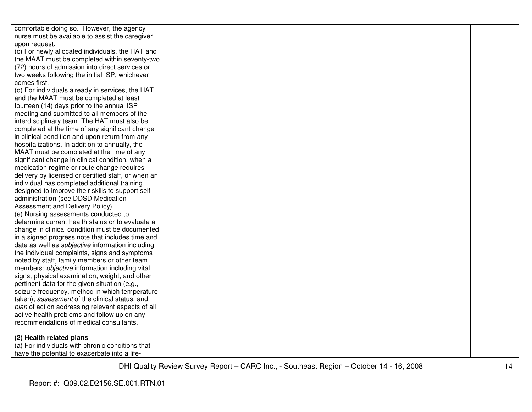| comfortable doing so. However, the agency               |  |  |
|---------------------------------------------------------|--|--|
| nurse must be available to assist the caregiver         |  |  |
| upon request.                                           |  |  |
| (c) For newly allocated individuals, the HAT and        |  |  |
| the MAAT must be completed within seventy-two           |  |  |
| (72) hours of admission into direct services or         |  |  |
| two weeks following the initial ISP, whichever          |  |  |
| comes first.                                            |  |  |
| (d) For individuals already in services, the HAT        |  |  |
| and the MAAT must be completed at least                 |  |  |
| fourteen (14) days prior to the annual ISP              |  |  |
| meeting and submitted to all members of the             |  |  |
| interdisciplinary team. The HAT must also be            |  |  |
| completed at the time of any significant change         |  |  |
| in clinical condition and upon return from any          |  |  |
| hospitalizations. In addition to annually, the          |  |  |
| MAAT must be completed at the time of any               |  |  |
| significant change in clinical condition, when a        |  |  |
| medication regime or route change requires              |  |  |
| delivery by licensed or certified staff, or when an     |  |  |
| individual has completed additional training            |  |  |
| designed to improve their skills to support self-       |  |  |
| administration (see DDSD Medication                     |  |  |
| Assessment and Delivery Policy).                        |  |  |
| (e) Nursing assessments conducted to                    |  |  |
| determine current health status or to evaluate a        |  |  |
| change in clinical condition must be documented         |  |  |
| in a signed progress note that includes time and        |  |  |
| date as well as <i>subjective</i> information including |  |  |
| the individual complaints, signs and symptoms           |  |  |
| noted by staff, family members or other team            |  |  |
| members; objective information including vital          |  |  |
| signs, physical examination, weight, and other          |  |  |
| pertinent data for the given situation (e.g.,           |  |  |
| seizure frequency, method in which temperature          |  |  |
| taken); assessment of the clinical status, and          |  |  |
| plan of action addressing relevant aspects of all       |  |  |
| active health problems and follow up on any             |  |  |
| recommendations of medical consultants.                 |  |  |
| (2) Health related plans                                |  |  |
| (a) For individuals with chronic conditions that        |  |  |
| have the potential to exacerbate into a life-           |  |  |
|                                                         |  |  |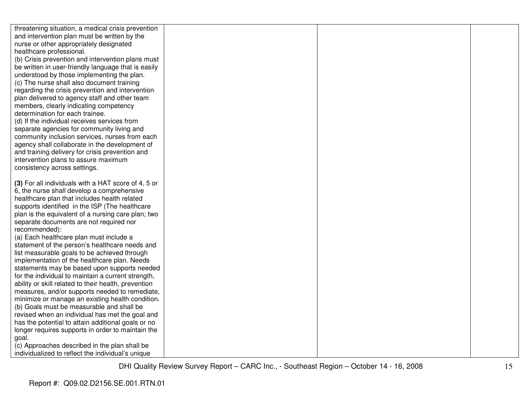| threatening situation, a medical crisis prevention       |  |  |
|----------------------------------------------------------|--|--|
| and intervention plan must be written by the             |  |  |
| nurse or other appropriately designated                  |  |  |
| healthcare professional.                                 |  |  |
| (b) Crisis prevention and intervention plans must        |  |  |
| be written in user-friendly language that is easily      |  |  |
| understood by those implementing the plan.               |  |  |
| (c) The nurse shall also document training               |  |  |
| regarding the crisis prevention and intervention         |  |  |
| plan delivered to agency staff and other team            |  |  |
| members, clearly indicating competency                   |  |  |
| determination for each trainee.                          |  |  |
| (d) If the individual receives services from             |  |  |
| separate agencies for community living and               |  |  |
| community inclusion services, nurses from each           |  |  |
| agency shall collaborate in the development of           |  |  |
| and training delivery for crisis prevention and          |  |  |
| intervention plans to assure maximum                     |  |  |
| consistency across settings.                             |  |  |
|                                                          |  |  |
| (3) For all individuals with a HAT score of 4, 5 or      |  |  |
| 6, the nurse shall develop a comprehensive               |  |  |
| healthcare plan that includes health related             |  |  |
| supports identified in the ISP (The healthcare           |  |  |
| plan is the equivalent of a nursing care plan; two       |  |  |
| separate documents are not required nor<br>recommended): |  |  |
| (a) Each healthcare plan must include a                  |  |  |
| statement of the person's healthcare needs and           |  |  |
| list measurable goals to be achieved through             |  |  |
| implementation of the healthcare plan. Needs             |  |  |
| statements may be based upon supports needed             |  |  |
| for the individual to maintain a current strength,       |  |  |
| ability or skill related to their health, prevention     |  |  |
| measures, and/or supports needed to remediate,           |  |  |
| minimize or manage an existing health condition.         |  |  |
| (b) Goals must be measurable and shall be                |  |  |
| revised when an individual has met the goal and          |  |  |
| has the potential to attain additional goals or no       |  |  |
| longer requires supports in order to maintain the        |  |  |
| goal.                                                    |  |  |
| (c) Approaches described in the plan shall be            |  |  |
| individualized to reflect the individual's unique        |  |  |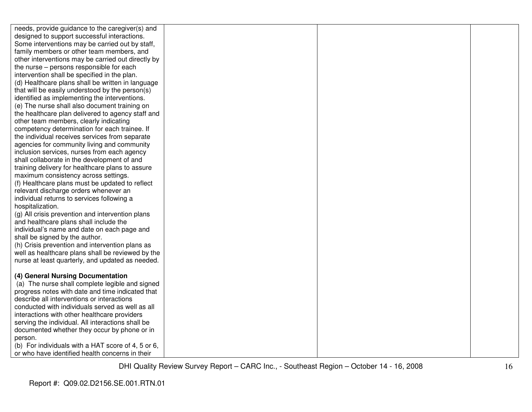| needs, provide guidance to the caregiver(s) and    |  |  |
|----------------------------------------------------|--|--|
| designed to support successful interactions.       |  |  |
| Some interventions may be carried out by staff,    |  |  |
| family members or other team members, and          |  |  |
| other interventions may be carried out directly by |  |  |
| the nurse - persons responsible for each           |  |  |
| intervention shall be specified in the plan.       |  |  |
| (d) Healthcare plans shall be written in language  |  |  |
| that will be easily understood by the person(s)    |  |  |
| identified as implementing the interventions.      |  |  |
| (e) The nurse shall also document training on      |  |  |
| the healthcare plan delivered to agency staff and  |  |  |
| other team members, clearly indicating             |  |  |
| competency determination for each trainee. If      |  |  |
| the individual receives services from separate     |  |  |
| agencies for community living and community        |  |  |
| inclusion services, nurses from each agency        |  |  |
| shall collaborate in the development of and        |  |  |
| training delivery for healthcare plans to assure   |  |  |
| maximum consistency across settings.               |  |  |
| (f) Healthcare plans must be updated to reflect    |  |  |
| relevant discharge orders whenever an              |  |  |
| individual returns to services following a         |  |  |
| hospitalization.                                   |  |  |
| (g) All crisis prevention and intervention plans   |  |  |
| and healthcare plans shall include the             |  |  |
| individual's name and date on each page and        |  |  |
| shall be signed by the author.                     |  |  |
| (h) Crisis prevention and intervention plans as    |  |  |
| well as healthcare plans shall be reviewed by the  |  |  |
| nurse at least quarterly, and updated as needed.   |  |  |
|                                                    |  |  |
| (4) General Nursing Documentation                  |  |  |
| (a) The nurse shall complete legible and signed    |  |  |
| progress notes with date and time indicated that   |  |  |
| describe all interventions or interactions         |  |  |
| conducted with individuals served as well as all   |  |  |
| interactions with other healthcare providers       |  |  |
| serving the individual. All interactions shall be  |  |  |
| documented whether they occur by phone or in       |  |  |
| person.                                            |  |  |
| (b) For individuals with a HAT score of 4, 5 or 6, |  |  |
| or who have identified health concerns in their    |  |  |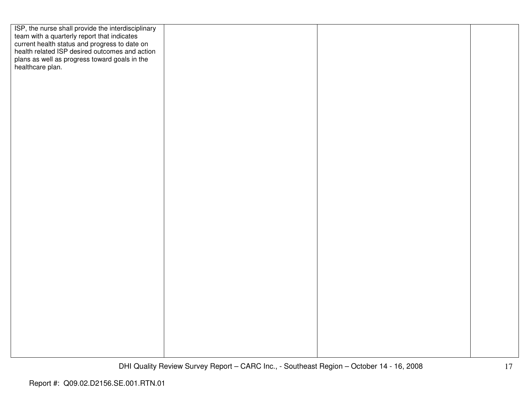| ISP, the nurse shall provide the interdisciplinary<br>team with a quarterly report that indicates<br>current health status and progress to date on<br>health related ISP desired outcomes and action |  |  |
|------------------------------------------------------------------------------------------------------------------------------------------------------------------------------------------------------|--|--|
|                                                                                                                                                                                                      |  |  |
|                                                                                                                                                                                                      |  |  |
|                                                                                                                                                                                                      |  |  |
| plans as well as progress toward goals in the healthcare plan.                                                                                                                                       |  |  |
|                                                                                                                                                                                                      |  |  |
|                                                                                                                                                                                                      |  |  |
|                                                                                                                                                                                                      |  |  |
|                                                                                                                                                                                                      |  |  |
|                                                                                                                                                                                                      |  |  |
|                                                                                                                                                                                                      |  |  |
|                                                                                                                                                                                                      |  |  |
|                                                                                                                                                                                                      |  |  |
|                                                                                                                                                                                                      |  |  |
|                                                                                                                                                                                                      |  |  |
|                                                                                                                                                                                                      |  |  |
|                                                                                                                                                                                                      |  |  |
|                                                                                                                                                                                                      |  |  |
|                                                                                                                                                                                                      |  |  |
|                                                                                                                                                                                                      |  |  |
|                                                                                                                                                                                                      |  |  |
|                                                                                                                                                                                                      |  |  |
|                                                                                                                                                                                                      |  |  |
|                                                                                                                                                                                                      |  |  |
|                                                                                                                                                                                                      |  |  |
|                                                                                                                                                                                                      |  |  |
|                                                                                                                                                                                                      |  |  |
|                                                                                                                                                                                                      |  |  |
|                                                                                                                                                                                                      |  |  |
|                                                                                                                                                                                                      |  |  |
|                                                                                                                                                                                                      |  |  |
|                                                                                                                                                                                                      |  |  |
|                                                                                                                                                                                                      |  |  |
|                                                                                                                                                                                                      |  |  |
|                                                                                                                                                                                                      |  |  |
|                                                                                                                                                                                                      |  |  |
|                                                                                                                                                                                                      |  |  |
|                                                                                                                                                                                                      |  |  |
|                                                                                                                                                                                                      |  |  |
|                                                                                                                                                                                                      |  |  |
|                                                                                                                                                                                                      |  |  |
|                                                                                                                                                                                                      |  |  |
|                                                                                                                                                                                                      |  |  |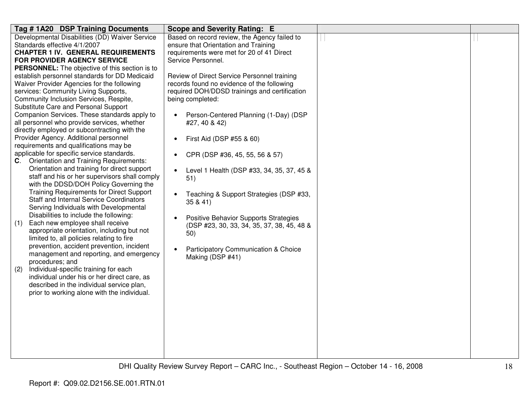| Tag #1A20 DSP Training Documents                                                             | <b>Scope and Severity Rating: E</b>                                                  |  |
|----------------------------------------------------------------------------------------------|--------------------------------------------------------------------------------------|--|
| Developmental Disabilities (DD) Waiver Service<br>Standards effective 4/1/2007               | Based on record review, the Agency failed to<br>ensure that Orientation and Training |  |
| <b>CHAPTER 1 IV. GENERAL REQUIREMENTS</b>                                                    | requirements were met for 20 of 41 Direct                                            |  |
| <b>FOR PROVIDER AGENCY SERVICE</b>                                                           | Service Personnel.                                                                   |  |
| PERSONNEL: The objective of this section is to                                               |                                                                                      |  |
| establish personnel standards for DD Medicaid                                                | Review of Direct Service Personnel training                                          |  |
| Waiver Provider Agencies for the following                                                   | records found no evidence of the following                                           |  |
| services: Community Living Supports,                                                         | required DOH/DDSD trainings and certification                                        |  |
| Community Inclusion Services, Respite,<br>Substitute Care and Personal Support               | being completed:                                                                     |  |
| Companion Services. These standards apply to                                                 | Person-Centered Planning (1-Day) (DSP<br>$\bullet$                                   |  |
| all personnel who provide services, whether                                                  | #27, 40 & 42)                                                                        |  |
| directly employed or subcontracting with the                                                 |                                                                                      |  |
| Provider Agency. Additional personnel                                                        | First Aid (DSP #55 & 60)<br>$\bullet$                                                |  |
| requirements and qualifications may be                                                       |                                                                                      |  |
| applicable for specific service standards.                                                   | CPR (DSP #36, 45, 55, 56 & 57)<br>$\bullet$                                          |  |
| C. Orientation and Training Requirements:                                                    |                                                                                      |  |
| Orientation and training for direct support<br>staff and his or her supervisors shall comply | Level 1 Health (DSP #33, 34, 35, 37, 45 &<br>$\bullet$                               |  |
| with the DDSD/DOH Policy Governing the                                                       | 51)                                                                                  |  |
| <b>Training Requirements for Direct Support</b>                                              | Teaching & Support Strategies (DSP #33,<br>$\bullet$                                 |  |
| <b>Staff and Internal Service Coordinators</b>                                               | 35 & 41)                                                                             |  |
| Serving Individuals with Developmental                                                       |                                                                                      |  |
| Disabilities to include the following:                                                       | Positive Behavior Supports Strategies<br>$\bullet$                                   |  |
| Each new employee shall receive<br>(1)                                                       | (DSP #23, 30, 33, 34, 35, 37, 38, 45, 48 &                                           |  |
| appropriate orientation, including but not<br>limited to, all policies relating to fire      | 50)                                                                                  |  |
| prevention, accident prevention, incident                                                    |                                                                                      |  |
| management and reporting, and emergency                                                      | Participatory Communication & Choice<br>$\bullet$                                    |  |
| procedures; and                                                                              | Making (DSP #41)                                                                     |  |
| Individual-specific training for each<br>(2)                                                 |                                                                                      |  |
| individual under his or her direct care, as                                                  |                                                                                      |  |
| described in the individual service plan,                                                    |                                                                                      |  |
| prior to working alone with the individual.                                                  |                                                                                      |  |
|                                                                                              |                                                                                      |  |
|                                                                                              |                                                                                      |  |
|                                                                                              |                                                                                      |  |
|                                                                                              |                                                                                      |  |
|                                                                                              |                                                                                      |  |
|                                                                                              |                                                                                      |  |
|                                                                                              |                                                                                      |  |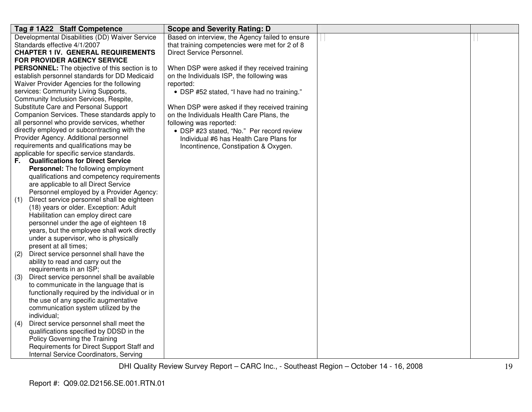| Tag #1A22 Staff Competence                                                           | <b>Scope and Severity Rating: D</b>             |  |
|--------------------------------------------------------------------------------------|-------------------------------------------------|--|
| Developmental Disabilities (DD) Waiver Service                                       | Based on interview, the Agency failed to ensure |  |
| Standards effective 4/1/2007                                                         | that training competencies were met for 2 of 8  |  |
| <b>CHAPTER 1 IV. GENERAL REQUIREMENTS</b>                                            | Direct Service Personnel.                       |  |
| <b>FOR PROVIDER AGENCY SERVICE</b>                                                   |                                                 |  |
| <b>PERSONNEL:</b> The objective of this section is to                                | When DSP were asked if they received training   |  |
| establish personnel standards for DD Medicaid                                        | on the Individuals ISP, the following was       |  |
| Waiver Provider Agencies for the following                                           | reported:                                       |  |
| services: Community Living Supports,                                                 | • DSP #52 stated, "I have had no training."     |  |
| Community Inclusion Services, Respite,                                               |                                                 |  |
| Substitute Care and Personal Support                                                 | When DSP were asked if they received training   |  |
| Companion Services. These standards apply to                                         | on the Individuals Health Care Plans, the       |  |
| all personnel who provide services, whether                                          | following was reported:                         |  |
| directly employed or subcontracting with the                                         | • DSP #23 stated, "No." Per record review       |  |
| Provider Agency. Additional personnel                                                | Individual #6 has Health Care Plans for         |  |
| requirements and qualifications may be                                               | Incontinence, Constipation & Oxygen.            |  |
| applicable for specific service standards.                                           |                                                 |  |
| <b>Qualifications for Direct Service</b><br>F.                                       |                                                 |  |
| Personnel: The following employment                                                  |                                                 |  |
| qualifications and competency requirements                                           |                                                 |  |
| are applicable to all Direct Service                                                 |                                                 |  |
| Personnel employed by a Provider Agency:                                             |                                                 |  |
| Direct service personnel shall be eighteen<br>(1)                                    |                                                 |  |
| (18) years or older. Exception: Adult                                                |                                                 |  |
| Habilitation can employ direct care                                                  |                                                 |  |
| personnel under the age of eighteen 18                                               |                                                 |  |
| years, but the employee shall work directly<br>under a supervisor, who is physically |                                                 |  |
| present at all times;                                                                |                                                 |  |
| Direct service personnel shall have the<br>(2)                                       |                                                 |  |
| ability to read and carry out the                                                    |                                                 |  |
| requirements in an ISP;                                                              |                                                 |  |
| Direct service personnel shall be available<br>(3)                                   |                                                 |  |
| to communicate in the language that is                                               |                                                 |  |
| functionally required by the individual or in                                        |                                                 |  |
| the use of any specific augmentative                                                 |                                                 |  |
| communication system utilized by the                                                 |                                                 |  |
| individual;                                                                          |                                                 |  |
| Direct service personnel shall meet the<br>(4)                                       |                                                 |  |
| qualifications specified by DDSD in the                                              |                                                 |  |
| Policy Governing the Training                                                        |                                                 |  |
| Requirements for Direct Support Staff and                                            |                                                 |  |
| Internal Service Coordinators, Serving                                               |                                                 |  |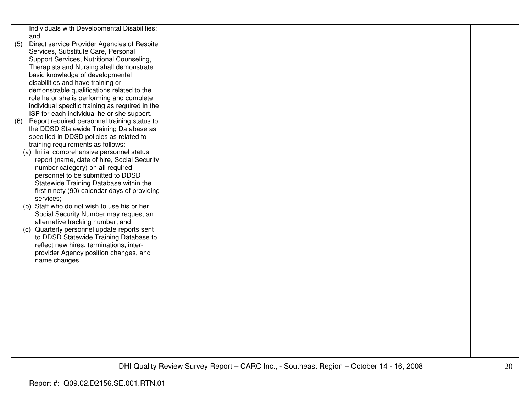|     | Individuals with Developmental Disabilities;    |  |  |
|-----|-------------------------------------------------|--|--|
|     | and                                             |  |  |
| (5) | Direct service Provider Agencies of Respite     |  |  |
|     | Services, Substitute Care, Personal             |  |  |
|     | Support Services, Nutritional Counseling,       |  |  |
|     | Therapists and Nursing shall demonstrate        |  |  |
|     | basic knowledge of developmental                |  |  |
|     | disabilities and have training or               |  |  |
|     | demonstrable qualifications related to the      |  |  |
|     | role he or she is performing and complete       |  |  |
|     | individual specific training as required in the |  |  |
|     | ISP for each individual he or she support.      |  |  |
| (6) | Report required personnel training status to    |  |  |
|     | the DDSD Statewide Training Database as         |  |  |
|     | specified in DDSD policies as related to        |  |  |
|     | training requirements as follows:               |  |  |
|     | (a) Initial comprehensive personnel status      |  |  |
|     | report (name, date of hire, Social Security     |  |  |
|     | number category) on all required                |  |  |
|     | personnel to be submitted to DDSD               |  |  |
|     | Statewide Training Database within the          |  |  |
|     | first ninety (90) calendar days of providing    |  |  |
|     | services;                                       |  |  |
|     | (b) Staff who do not wish to use his or her     |  |  |
|     | Social Security Number may request an           |  |  |
|     | alternative tracking number; and                |  |  |
|     | (c) Quarterly personnel update reports sent     |  |  |
|     | to DDSD Statewide Training Database to          |  |  |
|     | reflect new hires, terminations, inter-         |  |  |
|     | provider Agency position changes, and           |  |  |
|     | name changes.                                   |  |  |
|     |                                                 |  |  |
|     |                                                 |  |  |
|     |                                                 |  |  |
|     |                                                 |  |  |
|     |                                                 |  |  |
|     |                                                 |  |  |
|     |                                                 |  |  |
|     |                                                 |  |  |
|     |                                                 |  |  |
|     |                                                 |  |  |
|     |                                                 |  |  |
|     |                                                 |  |  |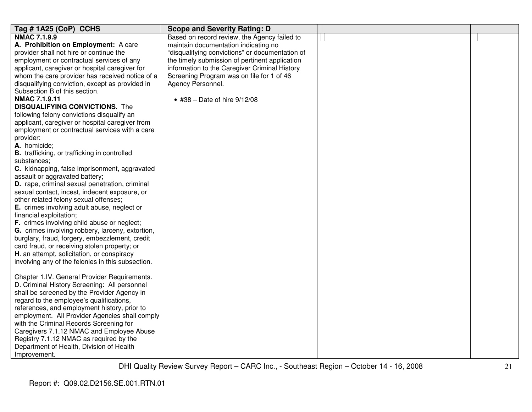| Tag #1A25 (CoP) CCHS                                | <b>Scope and Severity Rating: D</b>             |  |
|-----------------------------------------------------|-------------------------------------------------|--|
| <b>NMAC 7.1.9.9</b>                                 | Based on record review, the Agency failed to    |  |
| A. Prohibition on Employment: A care                | maintain documentation indicating no            |  |
| provider shall not hire or continue the             | "disqualifying convictions" or documentation of |  |
| employment or contractual services of any           | the timely submission of pertinent application  |  |
| applicant, caregiver or hospital caregiver for      | information to the Caregiver Criminal History   |  |
| whom the care provider has received notice of a     | Screening Program was on file for 1 of 46       |  |
| disqualifying conviction, except as provided in     | Agency Personnel.                               |  |
| Subsection B of this section.                       |                                                 |  |
| <b>NMAC 7.1.9.11</b>                                | • #38 - Date of hire $9/12/08$                  |  |
| <b>DISQUALIFYING CONVICTIONS.</b> The               |                                                 |  |
| following felony convictions disqualify an          |                                                 |  |
| applicant, caregiver or hospital caregiver from     |                                                 |  |
| employment or contractual services with a care      |                                                 |  |
| provider:                                           |                                                 |  |
| A. homicide;                                        |                                                 |  |
| <b>B.</b> trafficking, or trafficking in controlled |                                                 |  |
| substances:                                         |                                                 |  |
| C. kidnapping, false imprisonment, aggravated       |                                                 |  |
| assault or aggravated battery;                      |                                                 |  |
| D. rape, criminal sexual penetration, criminal      |                                                 |  |
| sexual contact, incest, indecent exposure, or       |                                                 |  |
| other related felony sexual offenses;               |                                                 |  |
| E. crimes involving adult abuse, neglect or         |                                                 |  |
| financial exploitation;                             |                                                 |  |
| F. crimes involving child abuse or neglect;         |                                                 |  |
| G. crimes involving robbery, larceny, extortion,    |                                                 |  |
| burglary, fraud, forgery, embezzlement, credit      |                                                 |  |
| card fraud, or receiving stolen property; or        |                                                 |  |
| H. an attempt, solicitation, or conspiracy          |                                                 |  |
| involving any of the felonies in this subsection.   |                                                 |  |
|                                                     |                                                 |  |
| Chapter 1.IV. General Provider Requirements.        |                                                 |  |
| D. Criminal History Screening: All personnel        |                                                 |  |
| shall be screened by the Provider Agency in         |                                                 |  |
| regard to the employee's qualifications,            |                                                 |  |
| references, and employment history, prior to        |                                                 |  |
| employment. All Provider Agencies shall comply      |                                                 |  |
| with the Criminal Records Screening for             |                                                 |  |
| Caregivers 7.1.12 NMAC and Employee Abuse           |                                                 |  |
| Registry 7.1.12 NMAC as required by the             |                                                 |  |
| Department of Health, Division of Health            |                                                 |  |
| Improvement.                                        |                                                 |  |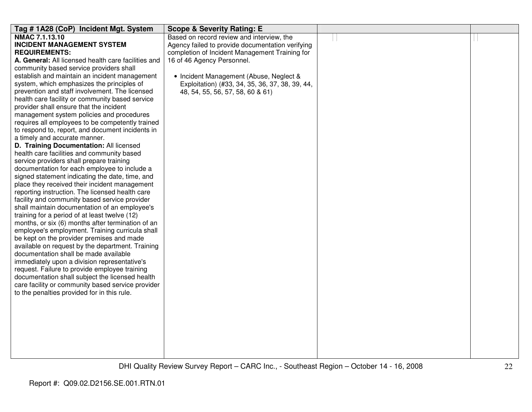| Tag # 1A28 (CoP) Incident Mgt. System                                                          | <b>Scope &amp; Severity Rating: E</b>            |  |
|------------------------------------------------------------------------------------------------|--------------------------------------------------|--|
| NMAC 7.1.13.10                                                                                 | Based on record review and interview, the        |  |
| <b>INCIDENT MANAGEMENT SYSTEM</b>                                                              | Agency failed to provide documentation verifying |  |
| <b>REQUIREMENTS:</b>                                                                           | completion of Incident Management Training for   |  |
| A. General: All licensed health care facilities and                                            | 16 of 46 Agency Personnel.                       |  |
| community based service providers shall                                                        |                                                  |  |
| establish and maintain an incident management                                                  | • Incident Management (Abuse, Neglect &          |  |
| system, which emphasizes the principles of                                                     | Exploitation) (#33, 34, 35, 36, 37, 38, 39, 44,  |  |
| prevention and staff involvement. The licensed                                                 | 48, 54, 55, 56, 57, 58, 60 & 61)                 |  |
| health care facility or community based service                                                |                                                  |  |
| provider shall ensure that the incident                                                        |                                                  |  |
| management system policies and procedures                                                      |                                                  |  |
| requires all employees to be competently trained                                               |                                                  |  |
| to respond to, report, and document incidents in                                               |                                                  |  |
| a timely and accurate manner.                                                                  |                                                  |  |
| D. Training Documentation: All licensed                                                        |                                                  |  |
| health care facilities and community based                                                     |                                                  |  |
| service providers shall prepare training                                                       |                                                  |  |
| documentation for each employee to include a                                                   |                                                  |  |
| signed statement indicating the date, time, and                                                |                                                  |  |
| place they received their incident management                                                  |                                                  |  |
| reporting instruction. The licensed health care                                                |                                                  |  |
| facility and community based service provider                                                  |                                                  |  |
| shall maintain documentation of an employee's<br>training for a period of at least twelve (12) |                                                  |  |
| months, or six (6) months after termination of an                                              |                                                  |  |
| employee's employment. Training curricula shall                                                |                                                  |  |
| be kept on the provider premises and made                                                      |                                                  |  |
| available on request by the department. Training                                               |                                                  |  |
| documentation shall be made available                                                          |                                                  |  |
| immediately upon a division representative's                                                   |                                                  |  |
| request. Failure to provide employee training                                                  |                                                  |  |
| documentation shall subject the licensed health                                                |                                                  |  |
| care facility or community based service provider                                              |                                                  |  |
| to the penalties provided for in this rule.                                                    |                                                  |  |
|                                                                                                |                                                  |  |
|                                                                                                |                                                  |  |
|                                                                                                |                                                  |  |
|                                                                                                |                                                  |  |
|                                                                                                |                                                  |  |
|                                                                                                |                                                  |  |
|                                                                                                |                                                  |  |
|                                                                                                |                                                  |  |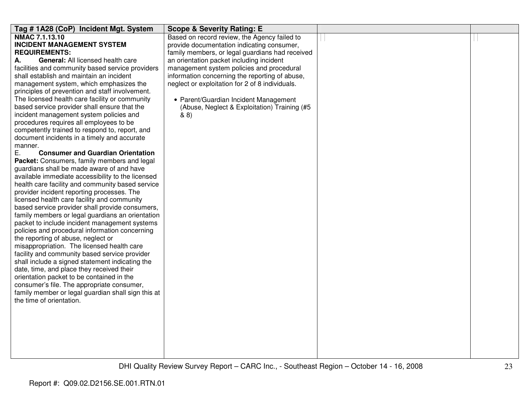| Tag # 1A28 (CoP) Incident Mgt. System                                                   | <b>Scope &amp; Severity Rating: E</b>           |  |
|-----------------------------------------------------------------------------------------|-------------------------------------------------|--|
| <b>NMAC 7.1.13.10</b>                                                                   | Based on record review, the Agency failed to    |  |
| <b>INCIDENT MANAGEMENT SYSTEM</b>                                                       | provide documentation indicating consumer,      |  |
| <b>REQUIREMENTS:</b>                                                                    | family members, or legal guardians had received |  |
| General: All licensed health care<br>А.                                                 | an orientation packet including incident        |  |
| facilities and community based service providers                                        | management system policies and procedural       |  |
| shall establish and maintain an incident                                                | information concerning the reporting of abuse,  |  |
| management system, which emphasizes the                                                 | neglect or exploitation for 2 of 8 individuals. |  |
| principles of prevention and staff involvement.                                         |                                                 |  |
| The licensed health care facility or community                                          | • Parent/Guardian Incident Management           |  |
| based service provider shall ensure that the<br>incident management system policies and | (Abuse, Neglect & Exploitation) Training (#5)   |  |
| procedures requires all employees to be                                                 | 88)                                             |  |
| competently trained to respond to, report, and                                          |                                                 |  |
| document incidents in a timely and accurate                                             |                                                 |  |
| manner.                                                                                 |                                                 |  |
| Е.<br><b>Consumer and Guardian Orientation</b>                                          |                                                 |  |
| Packet: Consumers, family members and legal                                             |                                                 |  |
| guardians shall be made aware of and have                                               |                                                 |  |
| available immediate accessibility to the licensed                                       |                                                 |  |
| health care facility and community based service                                        |                                                 |  |
| provider incident reporting processes. The                                              |                                                 |  |
| licensed health care facility and community                                             |                                                 |  |
| based service provider shall provide consumers,                                         |                                                 |  |
| family members or legal guardians an orientation                                        |                                                 |  |
| packet to include incident management systems                                           |                                                 |  |
| policies and procedural information concerning                                          |                                                 |  |
| the reporting of abuse, neglect or                                                      |                                                 |  |
| misappropriation. The licensed health care                                              |                                                 |  |
| facility and community based service provider                                           |                                                 |  |
| shall include a signed statement indicating the                                         |                                                 |  |
| date, time, and place they received their                                               |                                                 |  |
| orientation packet to be contained in the                                               |                                                 |  |
| consumer's file. The appropriate consumer,                                              |                                                 |  |
| family member or legal guardian shall sign this at                                      |                                                 |  |
| the time of orientation.                                                                |                                                 |  |
|                                                                                         |                                                 |  |
|                                                                                         |                                                 |  |
|                                                                                         |                                                 |  |
|                                                                                         |                                                 |  |
|                                                                                         |                                                 |  |
|                                                                                         |                                                 |  |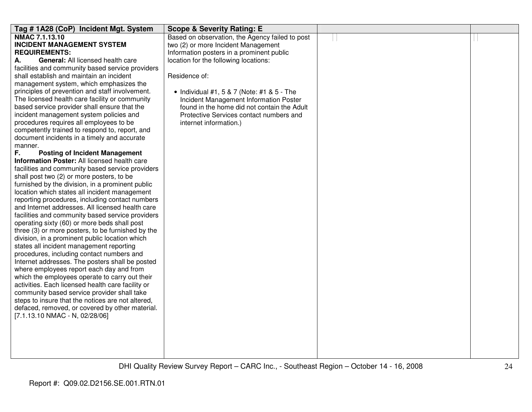| Tag #1A28 (CoP) Incident Mgt. System              | <b>Scope &amp; Severity Rating: E</b>           |  |
|---------------------------------------------------|-------------------------------------------------|--|
| NMAC 7.1.13.10                                    | Based on observation, the Agency failed to post |  |
| <b>INCIDENT MANAGEMENT SYSTEM</b>                 | two (2) or more Incident Management             |  |
| <b>REQUIREMENTS:</b>                              | Information posters in a prominent public       |  |
| <b>General:</b> All licensed health care<br>А.    | location for the following locations:           |  |
| facilities and community based service providers  |                                                 |  |
| shall establish and maintain an incident          | Residence of:                                   |  |
| management system, which emphasizes the           |                                                 |  |
| principles of prevention and staff involvement.   | • Individual #1, 5 & 7 (Note: #1 & 5 - The      |  |
| The licensed health care facility or community    | Incident Management Information Poster          |  |
| based service provider shall ensure that the      | found in the home did not contain the Adult     |  |
| incident management system policies and           | Protective Services contact numbers and         |  |
| procedures requires all employees to be           | internet information.)                          |  |
| competently trained to respond to, report, and    |                                                 |  |
| document incidents in a timely and accurate       |                                                 |  |
| manner.                                           |                                                 |  |
| F.<br><b>Posting of Incident Management</b>       |                                                 |  |
| Information Poster: All licensed health care      |                                                 |  |
| facilities and community based service providers  |                                                 |  |
| shall post two (2) or more posters, to be         |                                                 |  |
| furnished by the division, in a prominent public  |                                                 |  |
| location which states all incident management     |                                                 |  |
| reporting procedures, including contact numbers   |                                                 |  |
| and Internet addresses. All licensed health care  |                                                 |  |
| facilities and community based service providers  |                                                 |  |
| operating sixty (60) or more beds shall post      |                                                 |  |
| three (3) or more posters, to be furnished by the |                                                 |  |
| division, in a prominent public location which    |                                                 |  |
| states all incident management reporting          |                                                 |  |
| procedures, including contact numbers and         |                                                 |  |
| Internet addresses. The posters shall be posted   |                                                 |  |
| where employees report each day and from          |                                                 |  |
| which the employees operate to carry out their    |                                                 |  |
| activities. Each licensed health care facility or |                                                 |  |
| community based service provider shall take       |                                                 |  |
| steps to insure that the notices are not altered, |                                                 |  |
| defaced, removed, or covered by other material.   |                                                 |  |
| [7.1.13.10 NMAC - N, 02/28/06]                    |                                                 |  |
|                                                   |                                                 |  |
|                                                   |                                                 |  |
|                                                   |                                                 |  |
|                                                   |                                                 |  |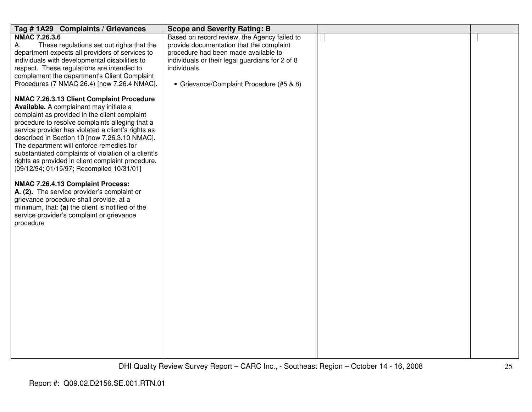| Tag #1A29 Complaints / Grievances                                                                                                                                                                                                                                                                                                                                                                                                                                                                                                                                                                                                                                                                                                                                                                | <b>Scope and Severity Rating: B</b>                             |  |
|--------------------------------------------------------------------------------------------------------------------------------------------------------------------------------------------------------------------------------------------------------------------------------------------------------------------------------------------------------------------------------------------------------------------------------------------------------------------------------------------------------------------------------------------------------------------------------------------------------------------------------------------------------------------------------------------------------------------------------------------------------------------------------------------------|-----------------------------------------------------------------|--|
| <b>NMAC 7.26.3.6</b>                                                                                                                                                                                                                                                                                                                                                                                                                                                                                                                                                                                                                                                                                                                                                                             | Based on record review, the Agency failed to                    |  |
| These regulations set out rights that the<br>А.                                                                                                                                                                                                                                                                                                                                                                                                                                                                                                                                                                                                                                                                                                                                                  | provide documentation that the complaint                        |  |
| department expects all providers of services to                                                                                                                                                                                                                                                                                                                                                                                                                                                                                                                                                                                                                                                                                                                                                  | procedure had been made available to                            |  |
| individuals with developmental disabilities to<br>respect. These regulations are intended to                                                                                                                                                                                                                                                                                                                                                                                                                                                                                                                                                                                                                                                                                                     | individuals or their legal guardians for 2 of 8<br>individuals. |  |
| complement the department's Client Complaint                                                                                                                                                                                                                                                                                                                                                                                                                                                                                                                                                                                                                                                                                                                                                     |                                                                 |  |
|                                                                                                                                                                                                                                                                                                                                                                                                                                                                                                                                                                                                                                                                                                                                                                                                  |                                                                 |  |
| Procedures (7 NMAC 26.4) [now 7.26.4 NMAC].<br>NMAC 7.26.3.13 Client Complaint Procedure<br>Available. A complainant may initiate a<br>complaint as provided in the client complaint<br>procedure to resolve complaints alleging that a<br>service provider has violated a client's rights as<br>described in Section 10 [now 7.26.3.10 NMAC].<br>The department will enforce remedies for<br>substantiated complaints of violation of a client's<br>rights as provided in client complaint procedure.<br>[09/12/94; 01/15/97; Recompiled 10/31/01]<br>NMAC 7.26.4.13 Complaint Process:<br>A. (2). The service provider's complaint or<br>grievance procedure shall provide, at a<br>minimum, that: (a) the client is notified of the<br>service provider's complaint or grievance<br>procedure | • Grievance/Complaint Procedure (#5 & 8)                        |  |
|                                                                                                                                                                                                                                                                                                                                                                                                                                                                                                                                                                                                                                                                                                                                                                                                  |                                                                 |  |
|                                                                                                                                                                                                                                                                                                                                                                                                                                                                                                                                                                                                                                                                                                                                                                                                  |                                                                 |  |
|                                                                                                                                                                                                                                                                                                                                                                                                                                                                                                                                                                                                                                                                                                                                                                                                  |                                                                 |  |
|                                                                                                                                                                                                                                                                                                                                                                                                                                                                                                                                                                                                                                                                                                                                                                                                  |                                                                 |  |
|                                                                                                                                                                                                                                                                                                                                                                                                                                                                                                                                                                                                                                                                                                                                                                                                  |                                                                 |  |
|                                                                                                                                                                                                                                                                                                                                                                                                                                                                                                                                                                                                                                                                                                                                                                                                  |                                                                 |  |
|                                                                                                                                                                                                                                                                                                                                                                                                                                                                                                                                                                                                                                                                                                                                                                                                  |                                                                 |  |
|                                                                                                                                                                                                                                                                                                                                                                                                                                                                                                                                                                                                                                                                                                                                                                                                  |                                                                 |  |
|                                                                                                                                                                                                                                                                                                                                                                                                                                                                                                                                                                                                                                                                                                                                                                                                  |                                                                 |  |
|                                                                                                                                                                                                                                                                                                                                                                                                                                                                                                                                                                                                                                                                                                                                                                                                  |                                                                 |  |
|                                                                                                                                                                                                                                                                                                                                                                                                                                                                                                                                                                                                                                                                                                                                                                                                  |                                                                 |  |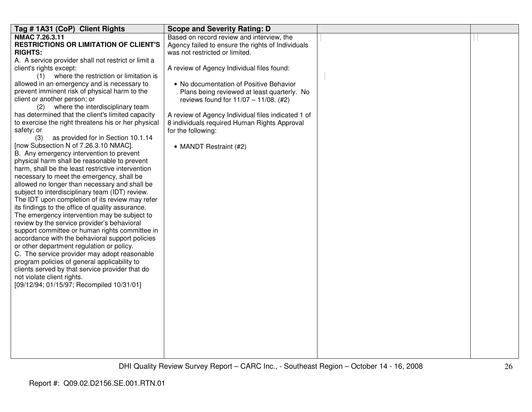| Tag # 1A31 (CoP) Client Rights                                                               | <b>Scope and Severity Rating: D</b>                |  |
|----------------------------------------------------------------------------------------------|----------------------------------------------------|--|
| NMAC 7.26.3.11                                                                               | Based on record review and interview, the          |  |
| <b>RESTRICTIONS OR LIMITATION OF CLIENT'S</b>                                                | Agency failed to ensure the rights of Individuals  |  |
| <b>RIGHTS:</b>                                                                               | was not restricted or limited.                     |  |
| A. A service provider shall not restrict or limit a                                          |                                                    |  |
| client's rights except:                                                                      | A review of Agency Individual files found:         |  |
| (1) where the restriction or limitation is                                                   |                                                    |  |
| allowed in an emergency and is necessary to<br>prevent imminent risk of physical harm to the | • No documentation of Positive Behavior            |  |
| client or another person; or                                                                 | Plans being reviewed at least quarterly. No        |  |
| where the interdisciplinary team<br>(2)                                                      | reviews found for 11/07 - 11/08. (#2)              |  |
| has determined that the client's limited capacity                                            | A review of Agency Individual files indicated 1 of |  |
| to exercise the right threatens his or her physical                                          | 8 individuals required Human Rights Approval       |  |
| safety; or                                                                                   | for the following:                                 |  |
| as provided for in Section 10.1.14<br>(3)                                                    |                                                    |  |
| [now Subsection N of 7.26.3.10 NMAC].                                                        | • MANDT Restraint (#2)                             |  |
| B. Any emergency intervention to prevent                                                     |                                                    |  |
| physical harm shall be reasonable to prevent                                                 |                                                    |  |
| harm, shall be the least restrictive intervention                                            |                                                    |  |
| necessary to meet the emergency, shall be                                                    |                                                    |  |
| allowed no longer than necessary and shall be                                                |                                                    |  |
| subject to interdisciplinary team (IDT) review.                                              |                                                    |  |
| The IDT upon completion of its review may refer                                              |                                                    |  |
| its findings to the office of quality assurance.                                             |                                                    |  |
| The emergency intervention may be subject to                                                 |                                                    |  |
| review by the service provider's behavioral                                                  |                                                    |  |
| support committee or human rights committee in                                               |                                                    |  |
| accordance with the behavioral support policies                                              |                                                    |  |
| or other department regulation or policy.                                                    |                                                    |  |
| C. The service provider may adopt reasonable                                                 |                                                    |  |
| program policies of general applicability to                                                 |                                                    |  |
| clients served by that service provider that do                                              |                                                    |  |
| not violate client rights.                                                                   |                                                    |  |
| [09/12/94; 01/15/97; Recompiled 10/31/01]                                                    |                                                    |  |
|                                                                                              |                                                    |  |
|                                                                                              |                                                    |  |
|                                                                                              |                                                    |  |
|                                                                                              |                                                    |  |
|                                                                                              |                                                    |  |
|                                                                                              |                                                    |  |
|                                                                                              |                                                    |  |
|                                                                                              |                                                    |  |
|                                                                                              |                                                    |  |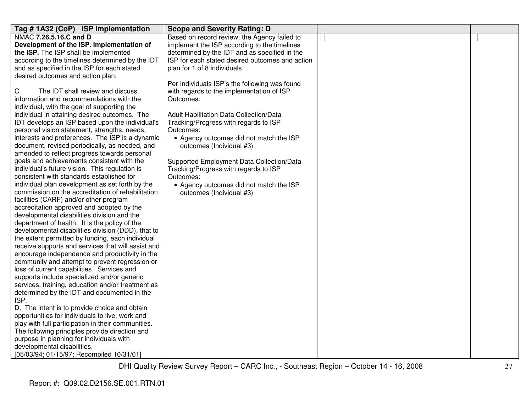| Tag # 1A32 (CoP) ISP Implementation                   | <b>Scope and Severity Rating: D</b>             |  |
|-------------------------------------------------------|-------------------------------------------------|--|
| NMAC 7.26.5.16.C and D                                | Based on record review, the Agency failed to    |  |
| Development of the ISP. Implementation of             | implement the ISP according to the timelines    |  |
| the ISP. The ISP shall be implemented                 | determined by the IDT and as specified in the   |  |
| according to the timelines determined by the IDT      | ISP for each stated desired outcomes and action |  |
| and as specified in the ISP for each stated           | plan for 1 of 8 individuals.                    |  |
| desired outcomes and action plan.                     |                                                 |  |
|                                                       | Per Individuals ISP's the following was found   |  |
| C.<br>The IDT shall review and discuss                | with regards to the implementation of ISP       |  |
| information and recommendations with the              | Outcomes:                                       |  |
| individual, with the goal of supporting the           |                                                 |  |
| individual in attaining desired outcomes. The         | <b>Adult Habilitation Data Collection/Data</b>  |  |
| IDT develops an ISP based upon the individual's       | Tracking/Progress with regards to ISP           |  |
| personal vision statement, strengths, needs,          | Outcomes:                                       |  |
| interests and preferences. The ISP is a dynamic       | • Agency outcomes did not match the ISP         |  |
| document, revised periodically, as needed, and        | outcomes (Individual #3)                        |  |
| amended to reflect progress towards personal          |                                                 |  |
| goals and achievements consistent with the            | Supported Employment Data Collection/Data       |  |
| individual's future vision. This regulation is        | Tracking/Progress with regards to ISP           |  |
| consistent with standards established for             | Outcomes:                                       |  |
| individual plan development as set forth by the       | • Agency outcomes did not match the ISP         |  |
| commission on the accreditation of rehabilitation     | outcomes (Individual #3)                        |  |
| facilities (CARF) and/or other program                |                                                 |  |
| accreditation approved and adopted by the             |                                                 |  |
| developmental disabilities division and the           |                                                 |  |
| department of health. It is the policy of the         |                                                 |  |
| developmental disabilities division (DDD), that to    |                                                 |  |
| the extent permitted by funding, each individual      |                                                 |  |
| receive supports and services that will assist and    |                                                 |  |
| encourage independence and productivity in the        |                                                 |  |
| community and attempt to prevent regression or        |                                                 |  |
| loss of current capabilities. Services and            |                                                 |  |
| supports include specialized and/or generic           |                                                 |  |
| services, training, education and/or treatment as     |                                                 |  |
| determined by the IDT and documented in the           |                                                 |  |
| ISP.<br>D. The intent is to provide choice and obtain |                                                 |  |
| opportunities for individuals to live, work and       |                                                 |  |
| play with full participation in their communities.    |                                                 |  |
| The following principles provide direction and        |                                                 |  |
| purpose in planning for individuals with              |                                                 |  |
| developmental disabilities.                           |                                                 |  |
| [05/03/94; 01/15/97; Recompiled 10/31/01]             |                                                 |  |
|                                                       |                                                 |  |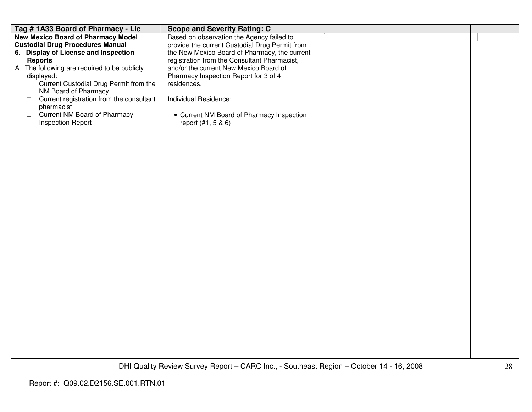| Tag #1A33 Board of Pharmacy - Lic                  | <b>Scope and Severity Rating: C</b>            |  |
|----------------------------------------------------|------------------------------------------------|--|
| <b>New Mexico Board of Pharmacy Model</b>          | Based on observation the Agency failed to      |  |
| <b>Custodial Drug Procedures Manual</b>            | provide the current Custodial Drug Permit from |  |
| 6. Display of License and Inspection               | the New Mexico Board of Pharmacy, the current  |  |
| <b>Reports</b>                                     | registration from the Consultant Pharmacist,   |  |
| A. The following are required to be publicly       | and/or the current New Mexico Board of         |  |
| displayed:                                         | Pharmacy Inspection Report for 3 of 4          |  |
| □ Current Custodial Drug Permit from the           | residences.                                    |  |
| NM Board of Pharmacy                               |                                                |  |
| Current registration from the consultant<br>$\Box$ | Individual Residence:                          |  |
| pharmacist                                         |                                                |  |
| □ Current NM Board of Pharmacy                     | • Current NM Board of Pharmacy Inspection      |  |
| <b>Inspection Report</b>                           | report (#1, 5 & 6)                             |  |
|                                                    |                                                |  |
|                                                    |                                                |  |
|                                                    |                                                |  |
|                                                    |                                                |  |
|                                                    |                                                |  |
|                                                    |                                                |  |
|                                                    |                                                |  |
|                                                    |                                                |  |
|                                                    |                                                |  |
|                                                    |                                                |  |
|                                                    |                                                |  |
|                                                    |                                                |  |
|                                                    |                                                |  |
|                                                    |                                                |  |
|                                                    |                                                |  |
|                                                    |                                                |  |
|                                                    |                                                |  |
|                                                    |                                                |  |
|                                                    |                                                |  |
|                                                    |                                                |  |
|                                                    |                                                |  |
|                                                    |                                                |  |
|                                                    |                                                |  |
|                                                    |                                                |  |
|                                                    |                                                |  |
|                                                    |                                                |  |
|                                                    |                                                |  |
|                                                    |                                                |  |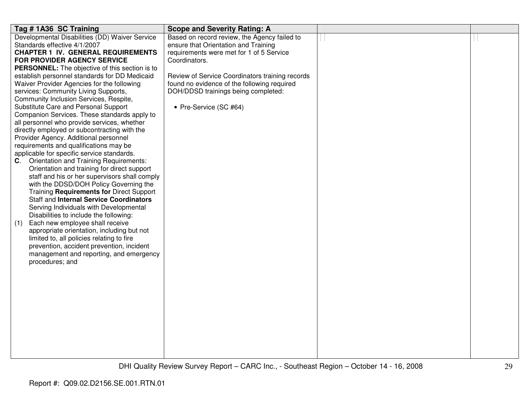| Tag #1A36 SC Training                                                                       | <b>Scope and Severity Rating: A</b>             |  |
|---------------------------------------------------------------------------------------------|-------------------------------------------------|--|
| Developmental Disabilities (DD) Waiver Service                                              | Based on record review, the Agency failed to    |  |
| Standards effective 4/1/2007                                                                | ensure that Orientation and Training            |  |
| <b>CHAPTER 1 IV. GENERAL REQUIREMENTS</b>                                                   | requirements were met for 1 of 5 Service        |  |
| FOR PROVIDER AGENCY SERVICE                                                                 | Coordinators.                                   |  |
| <b>PERSONNEL:</b> The objective of this section is to                                       |                                                 |  |
| establish personnel standards for DD Medicaid                                               | Review of Service Coordinators training records |  |
| Waiver Provider Agencies for the following                                                  | found no evidence of the following required     |  |
| services: Community Living Supports,                                                        | DOH/DDSD trainings being completed:             |  |
| Community Inclusion Services, Respite,                                                      |                                                 |  |
| Substitute Care and Personal Support                                                        | • Pre-Service (SC #64)                          |  |
| Companion Services. These standards apply to<br>all personnel who provide services, whether |                                                 |  |
| directly employed or subcontracting with the                                                |                                                 |  |
| Provider Agency. Additional personnel                                                       |                                                 |  |
| requirements and qualifications may be                                                      |                                                 |  |
| applicable for specific service standards.                                                  |                                                 |  |
| C. Orientation and Training Requirements:                                                   |                                                 |  |
| Orientation and training for direct support                                                 |                                                 |  |
| staff and his or her supervisors shall comply                                               |                                                 |  |
| with the DDSD/DOH Policy Governing the                                                      |                                                 |  |
| Training Requirements for Direct Support                                                    |                                                 |  |
| Staff and Internal Service Coordinators                                                     |                                                 |  |
| Serving Individuals with Developmental                                                      |                                                 |  |
| Disabilities to include the following:                                                      |                                                 |  |
| Each new employee shall receive<br>(1)                                                      |                                                 |  |
| appropriate orientation, including but not                                                  |                                                 |  |
| limited to, all policies relating to fire                                                   |                                                 |  |
| prevention, accident prevention, incident                                                   |                                                 |  |
| management and reporting, and emergency                                                     |                                                 |  |
| procedures; and                                                                             |                                                 |  |
|                                                                                             |                                                 |  |
|                                                                                             |                                                 |  |
|                                                                                             |                                                 |  |
|                                                                                             |                                                 |  |
|                                                                                             |                                                 |  |
|                                                                                             |                                                 |  |
|                                                                                             |                                                 |  |
|                                                                                             |                                                 |  |
|                                                                                             |                                                 |  |
|                                                                                             |                                                 |  |
|                                                                                             |                                                 |  |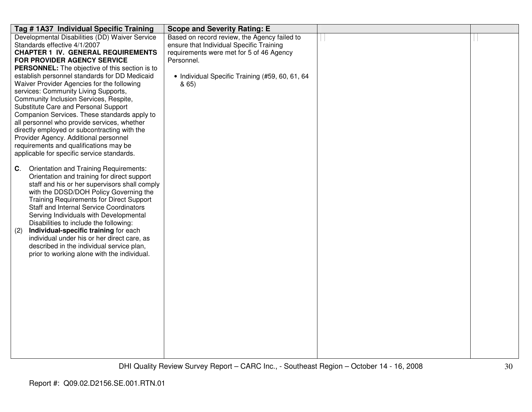| Tag # 1A37 Individual Specific Training                                                  | <b>Scope and Severity Rating: E</b>             |  |
|------------------------------------------------------------------------------------------|-------------------------------------------------|--|
| Developmental Disabilities (DD) Waiver Service                                           | Based on record review, the Agency failed to    |  |
| Standards effective 4/1/2007                                                             | ensure that Individual Specific Training        |  |
| <b>CHAPTER 1 IV. GENERAL REQUIREMENTS</b>                                                | requirements were met for 5 of 46 Agency        |  |
| FOR PROVIDER AGENCY SERVICE                                                              | Personnel.                                      |  |
| <b>PERSONNEL:</b> The objective of this section is to                                    |                                                 |  |
| establish personnel standards for DD Medicaid                                            | • Individual Specific Training (#59, 60, 61, 64 |  |
| Waiver Provider Agencies for the following                                               | & 65)                                           |  |
| services: Community Living Supports,                                                     |                                                 |  |
| Community Inclusion Services, Respite,                                                   |                                                 |  |
| Substitute Care and Personal Support<br>Companion Services. These standards apply to     |                                                 |  |
| all personnel who provide services, whether                                              |                                                 |  |
| directly employed or subcontracting with the                                             |                                                 |  |
| Provider Agency. Additional personnel                                                    |                                                 |  |
| requirements and qualifications may be                                                   |                                                 |  |
| applicable for specific service standards.                                               |                                                 |  |
|                                                                                          |                                                 |  |
| Orientation and Training Requirements:<br>C.                                             |                                                 |  |
| Orientation and training for direct support                                              |                                                 |  |
| staff and his or her supervisors shall comply                                            |                                                 |  |
| with the DDSD/DOH Policy Governing the                                                   |                                                 |  |
| <b>Training Requirements for Direct Support</b>                                          |                                                 |  |
| <b>Staff and Internal Service Coordinators</b>                                           |                                                 |  |
| Serving Individuals with Developmental                                                   |                                                 |  |
| Disabilities to include the following:                                                   |                                                 |  |
| Individual-specific training for each<br>(2)                                             |                                                 |  |
| individual under his or her direct care, as<br>described in the individual service plan, |                                                 |  |
| prior to working alone with the individual.                                              |                                                 |  |
|                                                                                          |                                                 |  |
|                                                                                          |                                                 |  |
|                                                                                          |                                                 |  |
|                                                                                          |                                                 |  |
|                                                                                          |                                                 |  |
|                                                                                          |                                                 |  |
|                                                                                          |                                                 |  |
|                                                                                          |                                                 |  |
|                                                                                          |                                                 |  |
|                                                                                          |                                                 |  |
|                                                                                          |                                                 |  |
|                                                                                          |                                                 |  |
|                                                                                          |                                                 |  |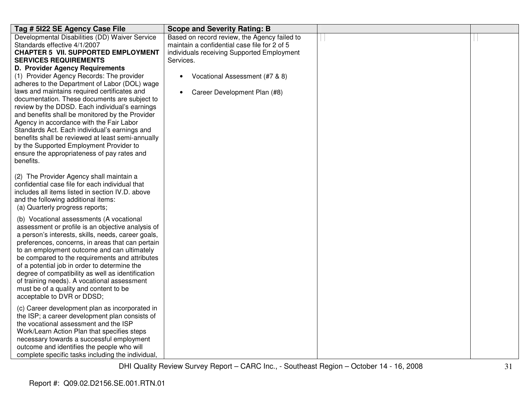| Tag # 5122 SE Agency Case File                                                                                                                                                                                                                                                                                                                                                                                                                                                                                                       | <b>Scope and Severity Rating: B</b>                                                                                                                                                       |  |
|--------------------------------------------------------------------------------------------------------------------------------------------------------------------------------------------------------------------------------------------------------------------------------------------------------------------------------------------------------------------------------------------------------------------------------------------------------------------------------------------------------------------------------------|-------------------------------------------------------------------------------------------------------------------------------------------------------------------------------------------|--|
| Developmental Disabilities (DD) Waiver Service<br>Standards effective 4/1/2007<br><b>CHAPTER 5 VII. SUPPORTED EMPLOYMENT</b><br><b>SERVICES REQUIREMENTS</b><br>D. Provider Agency Requirements<br>(1) Provider Agency Records: The provider<br>adheres to the Department of Labor (DOL) wage                                                                                                                                                                                                                                        | Based on record review, the Agency failed to<br>maintain a confidential case file for 2 of 5<br>individuals receiving Supported Employment<br>Services.<br>Vocational Assessment (#7 & 8) |  |
| laws and maintains required certificates and<br>documentation. These documents are subject to<br>review by the DDSD. Each individual's earnings<br>and benefits shall be monitored by the Provider<br>Agency in accordance with the Fair Labor<br>Standards Act. Each individual's earnings and<br>benefits shall be reviewed at least semi-annually<br>by the Supported Employment Provider to<br>ensure the appropriateness of pay rates and<br>benefits.                                                                          | Career Development Plan (#8)<br>$\bullet$                                                                                                                                                 |  |
| (2) The Provider Agency shall maintain a<br>confidential case file for each individual that<br>includes all items listed in section IV.D. above<br>and the following additional items:<br>(a) Quarterly progress reports;                                                                                                                                                                                                                                                                                                            |                                                                                                                                                                                           |  |
| (b) Vocational assessments (A vocational<br>assessment or profile is an objective analysis of<br>a person's interests, skills, needs, career goals,<br>preferences, concerns, in areas that can pertain<br>to an employment outcome and can ultimately<br>be compared to the requirements and attributes<br>of a potential job in order to determine the<br>degree of compatibility as well as identification<br>of training needs). A vocational assessment<br>must be of a quality and content to be<br>acceptable to DVR or DDSD; |                                                                                                                                                                                           |  |
| (c) Career development plan as incorporated in<br>the ISP; a career development plan consists of<br>the vocational assessment and the ISP<br>Work/Learn Action Plan that specifies steps<br>necessary towards a successful employment<br>outcome and identifies the people who will<br>complete specific tasks including the individual,                                                                                                                                                                                             |                                                                                                                                                                                           |  |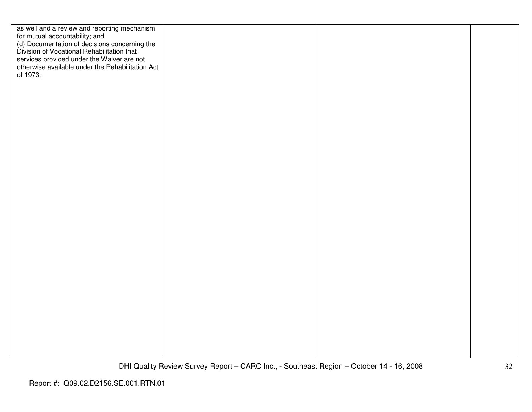| as well and a review and reporting mechanism<br>for mutual accountability; and<br>(d) Documentation of decisions concerning the<br>Division of Vocational Rehabilitation that<br>services provided under the Waiver are not<br>otherwise available under the Rehabilitation Act<br>of 1973. |  |  |
|---------------------------------------------------------------------------------------------------------------------------------------------------------------------------------------------------------------------------------------------------------------------------------------------|--|--|
|                                                                                                                                                                                                                                                                                             |  |  |
|                                                                                                                                                                                                                                                                                             |  |  |
|                                                                                                                                                                                                                                                                                             |  |  |
|                                                                                                                                                                                                                                                                                             |  |  |
|                                                                                                                                                                                                                                                                                             |  |  |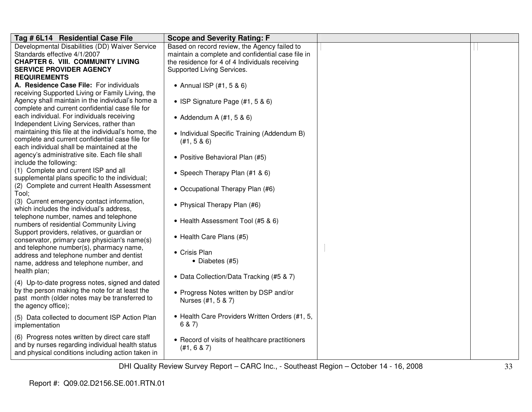| Tag # 6L14 Residential Case File                    | <b>Scope and Severity Rating: F</b>               |  |
|-----------------------------------------------------|---------------------------------------------------|--|
| Developmental Disabilities (DD) Waiver Service      | Based on record review, the Agency failed to      |  |
| Standards effective 4/1/2007                        | maintain a complete and confidential case file in |  |
| <b>CHAPTER 6. VIII. COMMUNITY LIVING</b>            | the residence for 4 of 4 Individuals receiving    |  |
| <b>SERVICE PROVIDER AGENCY</b>                      | Supported Living Services.                        |  |
| <b>REQUIREMENTS</b>                                 |                                                   |  |
| A. Residence Case File: For individuals             | • Annual ISP $(#1, 5 \& 6)$                       |  |
| receiving Supported Living or Family Living, the    |                                                   |  |
| Agency shall maintain in the individual's home a    | • ISP Signature Page $(#1, 5 \& 6)$               |  |
| complete and current confidential case file for     |                                                   |  |
| each individual. For individuals receiving          | • Addendum A $(#1, 5 \& 6)$                       |  |
| Independent Living Services, rather than            |                                                   |  |
| maintaining this file at the individual's home, the | • Individual Specific Training (Addendum B)       |  |
| complete and current confidential case file for     | (H1, 5 & 6)                                       |  |
| each individual shall be maintained at the          |                                                   |  |
| agency's administrative site. Each file shall       | • Positive Behavioral Plan (#5)                   |  |
| include the following:                              |                                                   |  |
| (1) Complete and current ISP and all                | • Speech Therapy Plan (#1 & 6)                    |  |
| supplemental plans specific to the individual;      |                                                   |  |
| (2) Complete and current Health Assessment          | • Occupational Therapy Plan (#6)                  |  |
| Tool;                                               |                                                   |  |
| (3) Current emergency contact information,          | • Physical Therapy Plan (#6)                      |  |
| which includes the individual's address,            |                                                   |  |
| telephone number, names and telephone               | • Health Assessment Tool (#5 & 6)                 |  |
| numbers of residential Community Living             |                                                   |  |
| Support providers, relatives, or guardian or        | • Health Care Plans (#5)                          |  |
| conservator, primary care physician's name(s)       |                                                   |  |
| and telephone number(s), pharmacy name,             | • Crisis Plan                                     |  |
| address and telephone number and dentist            |                                                   |  |
| name, address and telephone number, and             | • Diabetes (#5)                                   |  |
| health plan;                                        |                                                   |  |
| (4) Up-to-date progress notes, signed and dated     | • Data Collection/Data Tracking (#5 & 7)          |  |
| by the person making the note for at least the      |                                                   |  |
| past month (older notes may be transferred to       | • Progress Notes written by DSP and/or            |  |
| the agency office);                                 | Nurses (#1, 5 & 7)                                |  |
|                                                     |                                                   |  |
| (5) Data collected to document ISP Action Plan      | • Health Care Providers Written Orders (#1, 5,    |  |
| implementation                                      | 6 & 7)                                            |  |
| (6) Progress notes written by direct care staff     |                                                   |  |
| and by nurses regarding individual health status    | • Record of visits of healthcare practitioners    |  |
| and physical conditions including action taken in   | (H1, 6 & 7)                                       |  |
|                                                     |                                                   |  |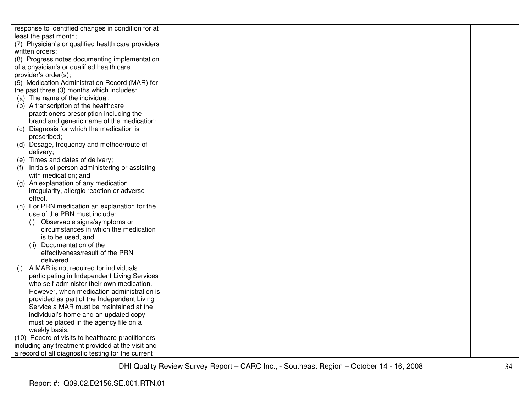| response to identified changes in condition for at                 |  |  |
|--------------------------------------------------------------------|--|--|
| least the past month;                                              |  |  |
| (7) Physician's or qualified health care providers                 |  |  |
| written orders;                                                    |  |  |
| (8) Progress notes documenting implementation                      |  |  |
| of a physician's or qualified health care                          |  |  |
| provider's order(s);                                               |  |  |
| (9) Medication Administration Record (MAR) for                     |  |  |
| the past three (3) months which includes:                          |  |  |
| (a) The name of the individual;                                    |  |  |
| (b) A transcription of the healthcare                              |  |  |
| practitioners prescription including the                           |  |  |
| brand and generic name of the medication;                          |  |  |
| Diagnosis for which the medication is<br>(C)                       |  |  |
| prescribed;                                                        |  |  |
| (d) Dosage, frequency and method/route of                          |  |  |
| delivery;                                                          |  |  |
| (e) Times and dates of delivery;                                   |  |  |
| Initials of person administering or assisting                      |  |  |
| with medication; and                                               |  |  |
| An explanation of any medication<br>$\left( \mathbf{q} \right)$    |  |  |
| irregularity, allergic reaction or adverse                         |  |  |
| effect.                                                            |  |  |
| For PRN medication an explanation for the<br>(h)                   |  |  |
| use of the PRN must include:                                       |  |  |
| (i) Observable signs/symptoms or                                   |  |  |
| circumstances in which the medication                              |  |  |
| is to be used, and                                                 |  |  |
| (ii) Documentation of the                                          |  |  |
| effectiveness/result of the PRN                                    |  |  |
| delivered.                                                         |  |  |
| A MAR is not required for individuals<br>(i)                       |  |  |
| participating in Independent Living Services                       |  |  |
| who self-administer their own medication.                          |  |  |
| However, when medication administration is                         |  |  |
| provided as part of the Independent Living                         |  |  |
| Service a MAR must be maintained at the                            |  |  |
| individual's home and an updated copy                              |  |  |
| must be placed in the agency file on a                             |  |  |
| weekly basis.<br>(10) Record of visits to healthcare practitioners |  |  |
| including any treatment provided at the visit and                  |  |  |
| a record of all diagnostic testing for the current                 |  |  |
|                                                                    |  |  |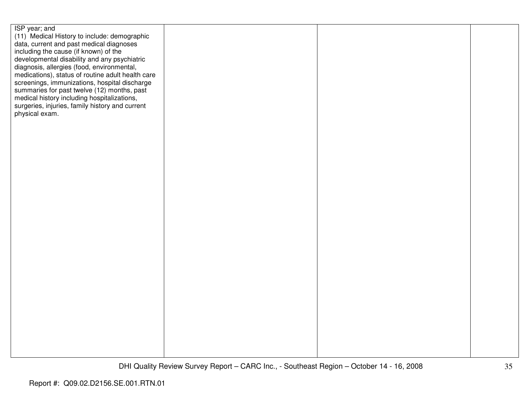| ISP year; and                                     |  |  |
|---------------------------------------------------|--|--|
| (11) Medical History to include: demographic      |  |  |
| data, current and past medical diagnoses          |  |  |
| including the cause (if known) of the             |  |  |
| developmental disability and any psychiatric      |  |  |
| diagnosis, allergies (food, environmental,        |  |  |
| medications), status of routine adult health care |  |  |
| screenings, immunizations, hospital discharge     |  |  |
| summaries for past twelve (12) months, past       |  |  |
| medical history including hospitalizations,       |  |  |
| surgeries, injuries, family history and current   |  |  |
| physical exam.                                    |  |  |
|                                                   |  |  |
|                                                   |  |  |
|                                                   |  |  |
|                                                   |  |  |
|                                                   |  |  |
|                                                   |  |  |
|                                                   |  |  |
|                                                   |  |  |
|                                                   |  |  |
|                                                   |  |  |
|                                                   |  |  |
|                                                   |  |  |
|                                                   |  |  |
|                                                   |  |  |
|                                                   |  |  |
|                                                   |  |  |
|                                                   |  |  |
|                                                   |  |  |
|                                                   |  |  |
|                                                   |  |  |
|                                                   |  |  |
|                                                   |  |  |
|                                                   |  |  |
|                                                   |  |  |
|                                                   |  |  |
|                                                   |  |  |
|                                                   |  |  |
|                                                   |  |  |
|                                                   |  |  |
|                                                   |  |  |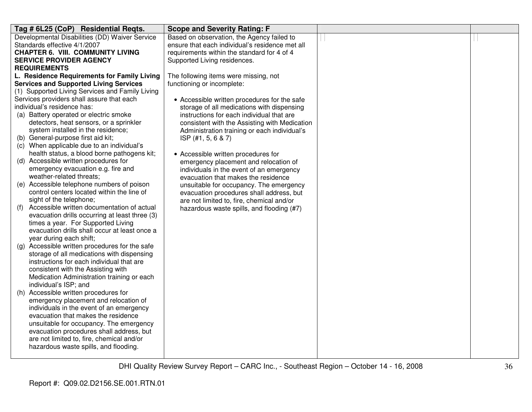| Tag # 6L25 (CoP) Residential Reqts.                                           | <b>Scope and Severity Rating: F</b>                                  |  |
|-------------------------------------------------------------------------------|----------------------------------------------------------------------|--|
| Developmental Disabilities (DD) Waiver Service                                | Based on observation, the Agency failed to                           |  |
| Standards effective 4/1/2007                                                  | ensure that each individual's residence met all                      |  |
| <b>CHAPTER 6. VIII. COMMUNITY LIVING</b>                                      | requirements within the standard for 4 of 4                          |  |
| <b>SERVICE PROVIDER AGENCY</b>                                                | Supported Living residences.                                         |  |
| <b>REQUIREMENTS</b>                                                           |                                                                      |  |
| L. Residence Requirements for Family Living                                   | The following items were missing, not                                |  |
| <b>Services and Supported Living Services</b>                                 | functioning or incomplete:                                           |  |
| (1) Supported Living Services and Family Living                               |                                                                      |  |
| Services providers shall assure that each                                     | • Accessible written procedures for the safe                         |  |
| individual's residence has:                                                   | storage of all medications with dispensing                           |  |
| (a) Battery operated or electric smoke                                        | instructions for each individual that are                            |  |
| detectors, heat sensors, or a sprinkler<br>system installed in the residence; | consistent with the Assisting with Medication                        |  |
| (b) General-purpose first aid kit;                                            | Administration training or each individual's<br>$ISP$ (#1, 5, 6 & 7) |  |
| (c) When applicable due to an individual's                                    |                                                                      |  |
| health status, a blood borne pathogens kit;                                   | • Accessible written procedures for                                  |  |
| (d) Accessible written procedures for                                         | emergency placement and relocation of                                |  |
| emergency evacuation e.g. fire and                                            | individuals in the event of an emergency                             |  |
| weather-related threats;                                                      | evacuation that makes the residence                                  |  |
| (e) Accessible telephone numbers of poison                                    | unsuitable for occupancy. The emergency                              |  |
| control centers located within the line of                                    | evacuation procedures shall address, but                             |  |
| sight of the telephone;                                                       | are not limited to, fire, chemical and/or                            |  |
| Accessible written documentation of actual<br>(f)                             | hazardous waste spills, and flooding (#7)                            |  |
| evacuation drills occurring at least three (3)                                |                                                                      |  |
| times a year. For Supported Living                                            |                                                                      |  |
| evacuation drills shall occur at least once a                                 |                                                                      |  |
| year during each shift;                                                       |                                                                      |  |
| (g) Accessible written procedures for the safe                                |                                                                      |  |
| storage of all medications with dispensing                                    |                                                                      |  |
| instructions for each individual that are                                     |                                                                      |  |
| consistent with the Assisting with                                            |                                                                      |  |
| Medication Administration training or each<br>individual's ISP; and           |                                                                      |  |
| (h) Accessible written procedures for                                         |                                                                      |  |
| emergency placement and relocation of                                         |                                                                      |  |
| individuals in the event of an emergency                                      |                                                                      |  |
| evacuation that makes the residence                                           |                                                                      |  |
| unsuitable for occupancy. The emergency                                       |                                                                      |  |
| evacuation procedures shall address, but                                      |                                                                      |  |
| are not limited to, fire, chemical and/or                                     |                                                                      |  |
| hazardous waste spills, and flooding.                                         |                                                                      |  |
|                                                                               |                                                                      |  |